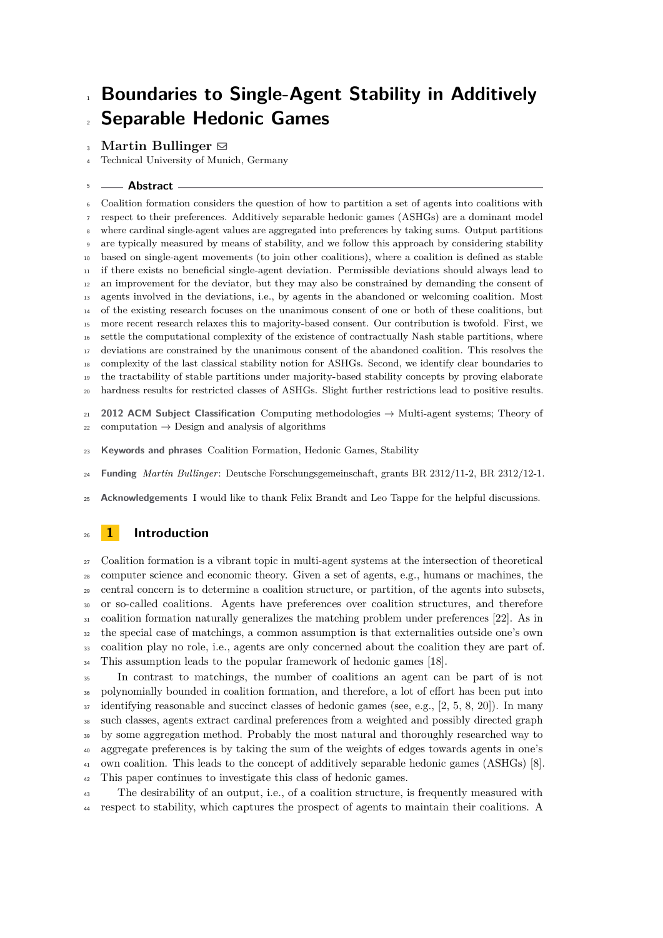**Martin Bullinger**  $\boxtimes$ 

Technical University of Munich, Germany

# **Abstract**

 Coalition formation considers the question of how to partition a set of agents into coalitions with respect to their preferences. Additively separable hedonic games (ASHGs) are a dominant model where cardinal single-agent values are aggregated into preferences by taking sums. Output partitions are typically measured by means of stability, and we follow this approach by considering stability based on single-agent movements (to join other coalitions), where a coalition is defined as stable if there exists no beneficial single-agent deviation. Permissible deviations should always lead to an improvement for the deviator, but they may also be constrained by demanding the consent of agents involved in the deviations, i.e., by agents in the abandoned or welcoming coalition. Most of the existing research focuses on the unanimous consent of one or both of these coalitions, but more recent research relaxes this to majority-based consent. Our contribution is twofold. First, we settle the computational complexity of the existence of contractually Nash stable partitions, where deviations are constrained by the unanimous consent of the abandoned coalition. This resolves the complexity of the last classical stability notion for ASHGs. Second, we identify clear boundaries to the tractability of stable partitions under majority-based stability concepts by proving elaborate hardness results for restricted classes of ASHGs. Slight further restrictions lead to positive results.

 **2012 ACM Subject Classification** Computing methodologies → Multi-agent systems; Theory of  $_{22}$  computation  $\rightarrow$  Design and analysis of algorithms

- **Keywords and phrases** Coalition Formation, Hedonic Games, Stability
- **Funding** *Martin Bullinger*: Deutsche Forschungsgemeinschaft, grants BR 2312/11-2, BR 2312/12-1.

**Acknowledgements** I would like to thank Felix Brandt and Leo Tappe for the helpful discussions.

# **1 Introduction**

 Coalition formation is a vibrant topic in multi-agent systems at the intersection of theoretical computer science and economic theory. Given a set of agents, e.g., humans or machines, the central concern is to determine a coalition structure, or partition, of the agents into subsets, or so-called coalitions. Agents have preferences over coalition structures, and therefore coalition formation naturally generalizes the matching problem under preferences [\[22\]](#page-13-0). As in the special case of matchings, a common assumption is that externalities outside one's own coalition play no role, i.e., agents are only concerned about the coalition they are part of. This assumption leads to the popular framework of hedonic games [\[18\]](#page-13-1).

 In contrast to matchings, the number of coalitions an agent can be part of is not polynomially bounded in coalition formation, and therefore, a lot of effort has been put into identifying reasonable and succinct classes of hedonic games (see, e.g., [\[2,](#page-13-2) [5,](#page-13-3) [8,](#page-13-4) [20\]](#page-13-5)). In many such classes, agents extract cardinal preferences from a weighted and possibly directed graph by some aggregation method. Probably the most natural and thoroughly researched way to aggregate preferences is by taking the sum of the weights of edges towards agents in one's own coalition. This leads to the concept of additively separable hedonic games (ASHGs) [\[8\]](#page-13-4). This paper continues to investigate this class of hedonic games.

 The desirability of an output, i.e., of a coalition structure, is frequently measured with respect to stability, which captures the prospect of agents to maintain their coalitions. A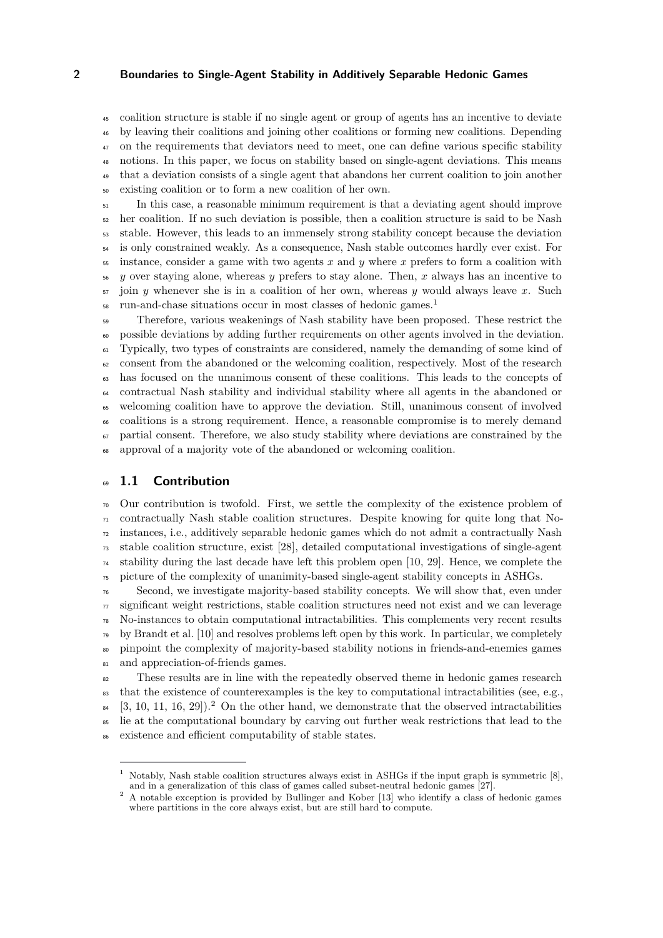coalition structure is stable if no single agent or group of agents has an incentive to deviate by leaving their coalitions and joining other coalitions or forming new coalitions. Depending <sup>47</sup> on the requirements that deviators need to meet, one can define various specific stability notions. In this paper, we focus on stability based on single-agent deviations. This means that a deviation consists of a single agent that abandons her current coalition to join another existing coalition or to form a new coalition of her own.

 In this case, a reasonable minimum requirement is that a deviating agent should improve her coalition. If no such deviation is possible, then a coalition structure is said to be Nash stable. However, this leads to an immensely strong stability concept because the deviation is only constrained weakly. As a consequence, Nash stable outcomes hardly ever exist. For instance, consider a game with two agents *x* and *y* where *x* prefers to form a coalition with *y* over staying alone, whereas *y* prefers to stay alone. Then, *x* always has an incentive to join *y* whenever she is in a coalition of her own, whereas *y* would always leave *x*. Such run-and-chase situations occur in most classes of hedonic games.[1](#page-1-0) 

 Therefore, various weakenings of Nash stability have been proposed. These restrict the possible deviations by adding further requirements on other agents involved in the deviation. Typically, two types of constraints are considered, namely the demanding of some kind of consent from the abandoned or the welcoming coalition, respectively. Most of the research has focused on the unanimous consent of these coalitions. This leads to the concepts of contractual Nash stability and individual stability where all agents in the abandoned or welcoming coalition have to approve the deviation. Still, unanimous consent of involved coalitions is a strong requirement. Hence, a reasonable compromise is to merely demand partial consent. Therefore, we also study stability where deviations are constrained by the approval of a majority vote of the abandoned or welcoming coalition.

# **1.1 Contribution**

 Our contribution is twofold. First, we settle the complexity of the existence problem of contractually Nash stable coalition structures. Despite knowing for quite long that No- instances, i.e., additively separable hedonic games which do not admit a contractually Nash stable coalition structure, exist [\[28\]](#page-14-0), detailed computational investigations of single-agent stability during the last decade have left this problem open [\[10,](#page-13-6) [29\]](#page-14-1). Hence, we complete the picture of the complexity of unanimity-based single-agent stability concepts in ASHGs.

 Second, we investigate majority-based stability concepts. We will show that, even under  $\pi$  significant weight restrictions, stable coalition structures need not exist and we can leverage No-instances to obtain computational intractabilities. This complements very recent results  $\gamma$ <sup>9</sup> by Brandt et al. [\[10\]](#page-13-6) and resolves problems left open by this work. In particular, we completely pinpoint the complexity of majority-based stability notions in friends-and-enemies games 81 and appreciation-of-friends games.

<sup>82</sup> These results are in line with the repeatedly observed theme in hedonic games research <sup>83</sup> that the existence of counterexamples is the key to computational intractabilities (see, e.g.,  $[3, 10, 11, 16, 29]$  $[3, 10, 11, 16, 29]$  $[3, 10, 11, 16, 29]$  $[3, 10, 11, 16, 29]$  $[3, 10, 11, 16, 29]$  $[3, 10, 11, 16, 29]$  $[3, 10, 11, 16, 29]$  $[3, 10, 11, 16, 29]$  $[3, 10, 11, 16, 29]$ .  $^2$  $^2$  On the other hand, we demonstrate that the observed intractabilities lie at the computational boundary by carving out further weak restrictions that lead to the existence and efficient computability of stable states.

<span id="page-1-0"></span> Notably, Nash stable coalition structures always exist in ASHGs if the input graph is symmetric [\[8\]](#page-13-4), and in a generalization of this class of games called subset-neutral hedonic games [\[27\]](#page-14-2).

<span id="page-1-1"></span><sup>&</sup>lt;sup>2</sup> A notable exception is provided by Bullinger and Kober [\[13\]](#page-13-10) who identify a class of hedonic games where partitions in the core always exist, but are still hard to compute.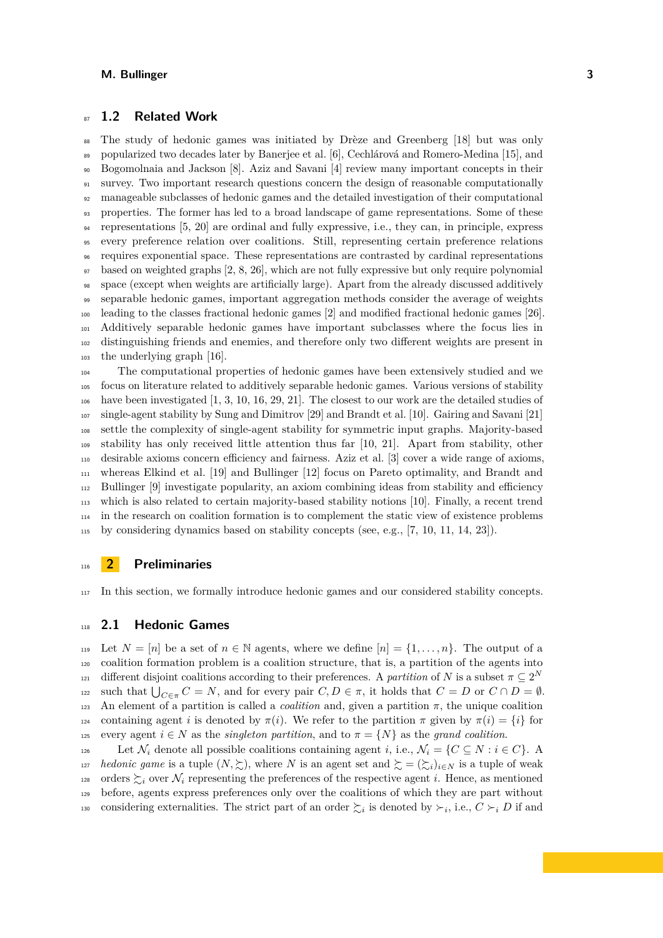# **1.2 Related Work**

 The study of hedonic games was initiated by Drèze and Greenberg [\[18\]](#page-13-1) but was only popularized two decades later by Banerjee et al. [\[6\]](#page-13-11), Cechlárová and Romero-Medina [\[15\]](#page-13-12), and Bogomolnaia and Jackson [\[8\]](#page-13-4). Aziz and Savani [\[4\]](#page-13-13) review many important concepts in their 91 survey. Two important research questions concern the design of reasonable computationally manageable subclasses of hedonic games and the detailed investigation of their computational properties. The former has led to a broad landscape of game representations. Some of these representations [\[5,](#page-13-3) [20\]](#page-13-5) are ordinal and fully expressive, i.e., they can, in principle, express every preference relation over coalitions. Still, representing certain preference relations requires exponential space. These representations are contrasted by cardinal representations based on weighted graphs [\[2,](#page-13-2) [8,](#page-13-4) [26\]](#page-14-3), which are not fully expressive but only require polynomial space (except when weights are artificially large). Apart from the already discussed additively separable hedonic games, important aggregation methods consider the average of weights leading to the classes fractional hedonic games [\[2\]](#page-13-2) and modified fractional hedonic games [\[26\]](#page-14-3). Additively separable hedonic games have important subclasses where the focus lies in distinguishing friends and enemies, and therefore only two different weights are present in the underlying graph [\[16\]](#page-13-9).

 The computational properties of hedonic games have been extensively studied and we focus on literature related to additively separable hedonic games. Various versions of stability have been investigated [\[1,](#page-13-14) [3,](#page-13-7) [10,](#page-13-6) [16,](#page-13-9) [29,](#page-14-1) [21\]](#page-13-15). The closest to our work are the detailed studies of single-agent stability by Sung and Dimitrov [\[29\]](#page-14-1) and Brandt et al. [\[10\]](#page-13-6). Gairing and Savani [\[21\]](#page-13-15) settle the complexity of single-agent stability for symmetric input graphs. Majority-based stability has only received little attention thus far [\[10,](#page-13-6) [21\]](#page-13-15). Apart from stability, other desirable axioms concern efficiency and fairness. Aziz et al. [\[3\]](#page-13-7) cover a wide range of axioms, whereas Elkind et al. [\[19\]](#page-13-16) and Bullinger [\[12\]](#page-13-17) focus on Pareto optimality, and Brandt and Bullinger [\[9\]](#page-13-18) investigate popularity, an axiom combining ideas from stability and efficiency which is also related to certain majority-based stability notions [\[10\]](#page-13-6). Finally, a recent trend in the research on coalition formation is to complement the static view of existence problems by considering dynamics based on stability concepts (see, e.g., [\[7,](#page-13-19) [10,](#page-13-6) [11,](#page-13-8) [14,](#page-13-20) [23\]](#page-14-4)).

# **2 Preliminaries**

In this section, we formally introduce hedonic games and our considered stability concepts.

### **2.1 Hedonic Games**

119 Let  $N = [n]$  be a set of  $n \in \mathbb{N}$  agents, where we define  $[n] = \{1, \ldots, n\}$ . The output of a coalition formation problem is a coalition structure, that is, a partition of the agents into different disjoint coalitions according to their preferences. A *partition* of *N* is a subset  $\pi \subseteq 2^N$ 122 **Such that**  $\bigcup_{C \in \pi} C = N$ , and for every pair *C*, *D* ∈ *π*, it holds that *C* = *D* or *C* ∩ *D* = *Φ*. 123 An element of a partition is called a *coalition* and, given a partition  $\pi$ , the unique coalition containing agent *i* is denoted by *π*(*i*). We refer to the partition *π* given by *π*(*i*) = {*i*} for 125 every agent  $i \in N$  as the *singleton partition*, and to  $\pi = \{N\}$  as the *grand coalition*.

126 Let  $\mathcal{N}_i$  denote all possible coalitions containing agent *i*, i.e.,  $\mathcal{N}_i = \{C \subseteq N : i \in C\}$ . 127 *hedonic game* is a tuple  $(N, \geq)$ , where *N* is an agent set and  $\geq = (\geq_i)_{i \in N}$  is a tuple of weak 128 orders  $\succsim_i$  over  $\mathcal{N}_i$  representing the preferences of the respective agent *i*. Hence, as mentioned before, agents express preferences only over the coalitions of which they are part without considering externalities. The strict part of an order  $\succsim_i$  is denoted by  $\succ_i$ , i.e.,  $C\succ_i D$  if and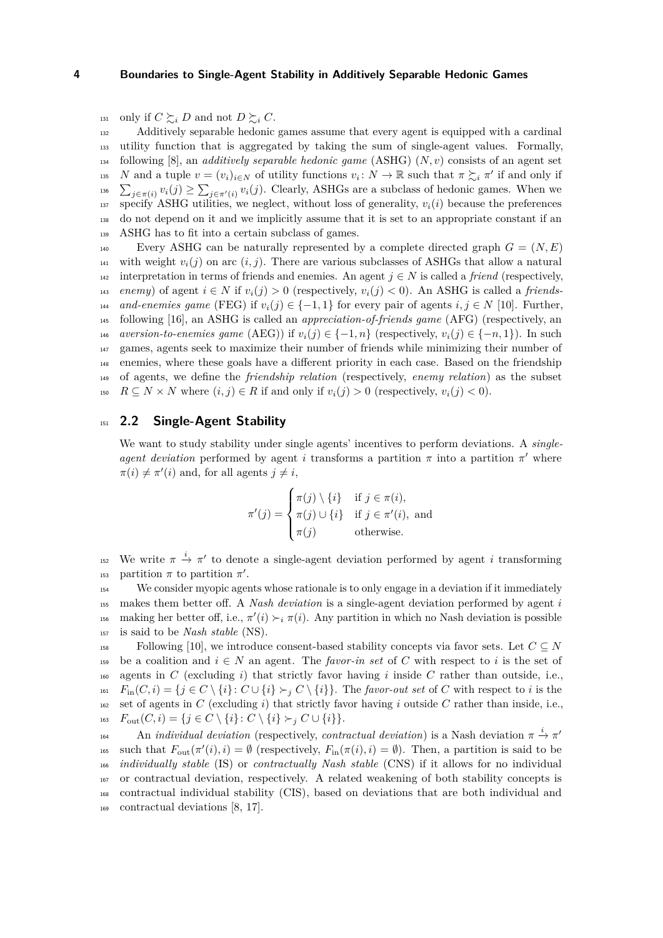131 only if  $C \succeq_i D$  and not  $D \succeq_i C$ .

 Additively separable hedonic games assume that every agent is equipped with a cardinal utility function that is aggregated by taking the sum of single-agent values. Formally, following [\[8\]](#page-13-4), an *additively separable hedonic game* (ASHG) (*N, v*) consists of an agent set *N* and a tuple  $v = (v_i)_{i \in N}$  of utility functions  $v_i \colon N \to \mathbb{R}$  such that  $\pi \succsim_i \pi'$  if and only if <sup>136</sup>  $\sum_{j\in\pi(i)} v_i(j) \ge \sum_{j\in\pi'(i)} v_i(j)$ . Clearly, ASHGs are a subclass of hedonic games. When we 137 specify ASHG utilities, we neglect, without loss of generality,  $v_i(i)$  because the preferences do not depend on it and we implicitly assume that it is set to an appropriate constant if an ASHG has to fit into a certain subclass of games.

Every ASHG can be naturally represented by a complete directed graph  $G = (N, E)$ <sup>141</sup> with weight  $v_i(j)$  on arc  $(i, j)$ . There are various subclasses of ASHGs that allow a natural 142 interpretation in terms of friends and enemies. An agent  $j \in N$  is called a *friend* (respectively, *enemy*) of agent  $i \in N$  if  $v_i(j) > 0$  (respectively,  $v_i(j) < 0$ ). An ASHG is called a *friends-and-enemies game* (FEG) if  $v_i(j) \in \{-1, 1\}$  for every pair of agents  $i, j \in N$  [\[10\]](#page-13-6). Further, following [\[16\]](#page-13-9), an ASHG is called an *appreciation-of-friends game* (AFG) (respectively, an *aversion-to-enemies game* (AEG)) if  $v_i(j) \in \{-1, n\}$  (respectively,  $v_i(j) \in \{-n, 1\}$ ). In such games, agents seek to maximize their number of friends while minimizing their number of enemies, where these goals have a different priority in each case. Based on the friendship of agents, we define the *friendship relation* (respectively, *enemy relation*) as the subset  $R \subseteq N \times N$  where  $(i, j) \in R$  if and only if  $v_i(j) > 0$  (respectively,  $v_i(j) < 0$ ).

# <sup>151</sup> **2.2 Single-Agent Stability**

We want to study stability under single agents' incentives to perform deviations. A *singleagent deviation* performed by agent *i* transforms a partition  $\pi$  into a partition  $\pi'$  where  $\pi(i) \neq \pi'(i)$  and, for all agents  $j \neq i$ ,

$$
\pi'(j) = \begin{cases} \pi(j) \setminus \{i\} & \text{if } j \in \pi(i), \\ \pi(j) \cup \{i\} & \text{if } j \in \pi'(i), \text{ and} \\ \pi(j) & \text{otherwise.} \end{cases}
$$

<sup>152</sup> We write  $\pi \stackrel{i}{\rightarrow} \pi'$  to denote a single-agent deviation performed by agent *i* transforming 153 partition  $\pi$  to partition  $\pi'$ .

 We consider myopic agents whose rationale is to only engage in a deviation if it immediately makes them better off. A *Nash deviation* is a single-agent deviation performed by agent *i* <sup>156</sup> making her better off, i.e.,  $\pi'(i) \succ_i \pi(i)$ . Any partition in which no Nash deviation is possible is said to be *Nash stable* (NS).

 $_{158}$  Following [\[10\]](#page-13-6), we introduce consent-based stability concepts via favor sets. Let  $C \subseteq N$ 159 be a coalition and  $i \in N$  an agent. The *favor-in set* of *C* with respect to *i* is the set of <sup>160</sup> agents in *C* (excluding *i*) that strictly favor having *i* inside *C* rather than outside, i.e.,  $F_{\text{in}}(C, i) = \{j \in C \setminus \{i\} : C \cup \{i\} \succ_i C \setminus \{i\}\}.$  The *favor-out set* of *C* with respect to *i* is the 162 set of agents in *C* (excluding *i*) that strictly favor having *i* outside *C* rather than inside, i.e., 163  $F_{\text{out}}(C, i) = \{j \in C \setminus \{i\} : C \setminus \{i\} \succ_i C \cup \{i\}\}.$ 

An *individual deviation* (respectively, *contractual deviation*) is a Nash deviation  $\pi \stackrel{i}{\rightarrow} \pi'$ 164 <sup>165</sup> such that  $F_{\text{out}}(\pi'(i), i) = \emptyset$  (respectively,  $F_{\text{in}}(\pi(i), i) = \emptyset$ ). Then, a partition is said to be <sup>166</sup> *individually stable* (IS) or *contractually Nash stable* (CNS) if it allows for no individual <sup>167</sup> or contractual deviation, respectively. A related weakening of both stability concepts is <sup>168</sup> contractual individual stability (CIS), based on deviations that are both individual and <sup>169</sup> contractual deviations [\[8,](#page-13-4) [17\]](#page-13-21).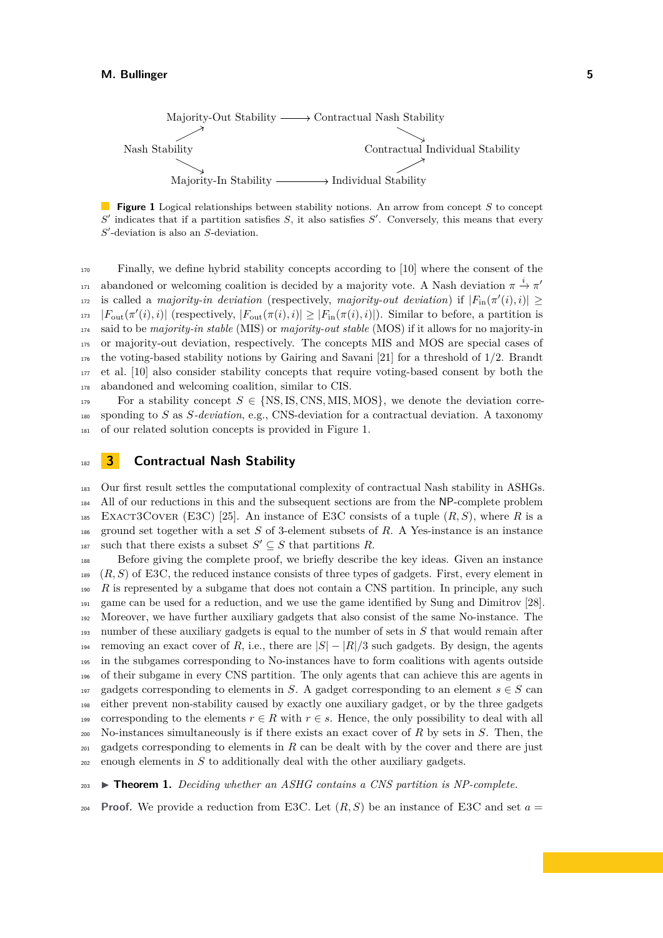<span id="page-4-0"></span>

**Figure 1** Logical relationships between stability notions. An arrow from concept *S* to concept *S* ′ indicates that if a partition satisfies *S*, it also satisfies *S* ′ . Conversely, this means that every *S* ′ -deviation is also an *S*-deviation.

<sup>170</sup> Finally, we define hybrid stability concepts according to [\[10\]](#page-13-6) where the consent of the abandoned or welcoming coalition is decided by a majority vote. A Nash deviation  $\pi \stackrel{i}{\rightarrow} \pi'$ 171 is called a *majority-in deviation* (respectively, *majority-out deviation*) if  $|F_{\text{in}}(\pi'(i), i)| \ge$  $|F_{\text{out}}(\pi'(i),i)|$  (respectively,  $|F_{\text{out}}(\pi(i),i)| \geq |F_{\text{in}}(\pi(i),i)|$ ). Similar to before, a partition is <sup>174</sup> said to be *majority-in stable* (MIS) or *majority-out stable* (MOS) if it allows for no majority-in <sup>175</sup> or majority-out deviation, respectively. The concepts MIS and MOS are special cases of <sup>176</sup> the voting-based stability notions by Gairing and Savani [\[21\]](#page-13-15) for a threshold of 1*/*2. Brandt <sup>177</sup> et al. [\[10\]](#page-13-6) also consider stability concepts that require voting-based consent by both the <sup>178</sup> abandoned and welcoming coalition, similar to CIS.

For a stability concept  $S \in \{NS, IS, CMS, MIS, MOS\}$ , we denote the deviation corre-<sup>180</sup> sponding to *S* as *S-deviation*, e.g., CNS-deviation for a contractual deviation. A taxonomy <sup>181</sup> of our related solution concepts is provided in Figure [1.](#page-4-0)

# <sup>182</sup> **3 Contractual Nash Stability**

<sup>183</sup> Our first result settles the computational complexity of contractual Nash stability in ASHGs. <sup>184</sup> All of our reductions in this and the subsequent sections are from the NP-complete problem 185 EXACT3COVER (E3C) [\[25\]](#page-14-5). An instance of E3C consists of a tuple  $(R, S)$ , where R is a <sup>186</sup> ground set together with a set *S* of 3-element subsets of *R*. A Yes-instance is an instance such that there exists a subset  $S' \subseteq S$  that partitions R.

 Before giving the complete proof, we briefly describe the key ideas. Given an instance (*R, S*) of E3C, the reduced instance consists of three types of gadgets. First, every element in *R* is represented by a subgame that does not contain a CNS partition. In principle, any such game can be used for a reduction, and we use the game identified by Sung and Dimitrov [\[28\]](#page-14-0). Moreover, we have further auxiliary gadgets that also consist of the same No-instance. The number of these auxiliary gadgets is equal to the number of sets in *S* that would remain after 194 removing an exact cover of *R*, i.e., there are  $|S| - |R|/3$  such gadgets. By design, the agents in the subgames corresponding to No-instances have to form coalitions with agents outside of their subgame in every CNS partition. The only agents that can achieve this are agents in 197 gadgets corresponding to elements in *S*. A gadget corresponding to an element  $s \in S$  can either prevent non-stability caused by exactly one auxiliary gadget, or by the three gadgets 199 corresponding to the elements  $r \in R$  with  $r \in s$ . Hence, the only possibility to deal with all No-instances simultaneously is if there exists an exact cover of *R* by sets in *S*. Then, the  $_{201}$  gadgets corresponding to elements in  $R$  can be dealt with by the cover and there are just enough elements in *S* to additionally deal with the other auxiliary gadgets.

<span id="page-4-1"></span><sup>203</sup> ▶ **Theorem 1.** *Deciding whether an ASHG contains a CNS partition is NP-complete.*

**Proof.** We provide a reduction from E3C. Let  $(R, S)$  be an instance of E3C and set  $a =$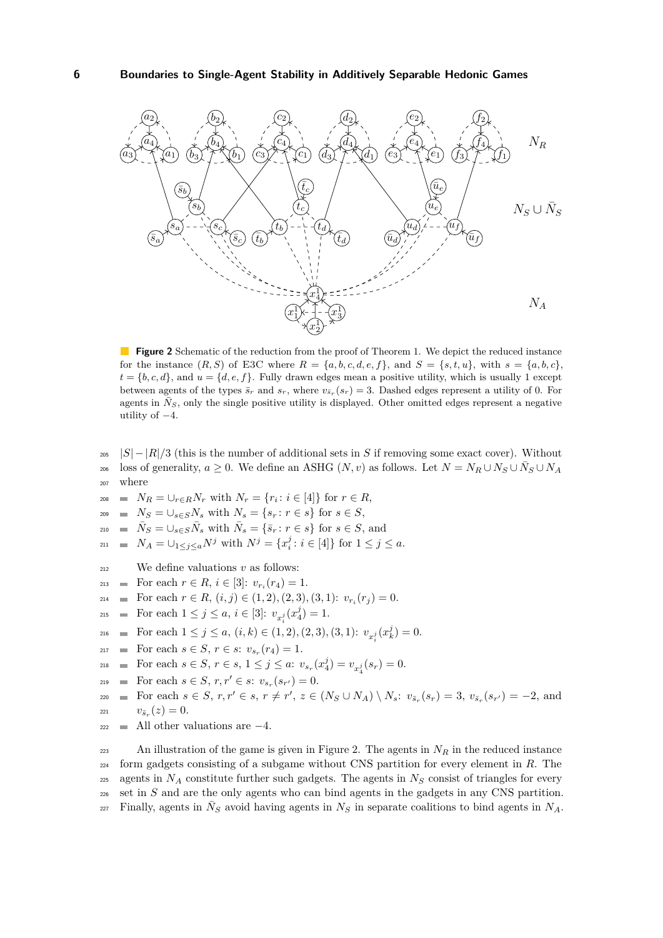<span id="page-5-0"></span>

**Figure 2** Schematic of the reduction from the proof of Theorem [1.](#page-4-1) We depict the reduced instance for the instance  $(R, S)$  of E3C where  $R = \{a, b, c, d, e, f\}$ , and  $S = \{s, t, u\}$ , with  $s = \{a, b, c\}$ ,  $t = \{b, c, d\}$ , and  $u = \{d, e, f\}$ . Fully drawn edges mean a positive utility, which is usually 1 except between agents of the types  $\bar{s}_r$  and  $s_r$ , where  $v_{\bar{s}_r}(s_r) = 3$ . Dashed edges represent a utility of 0. For agents in  $\tilde{N}_S$ , only the single positive utility is displayed. Other omitted edges represent a negative utility of  $-4$ .

- $205$  |*S*| − |*R*|/3 (this is the number of additional sets in *S* if removing some exact cover). Without loss of generality,  $a \geq 0$ . We define an ASHG  $(N, v)$  as follows. Let  $N = N_R \cup N_S \cup N_S \cup N_A$ <sup>207</sup> where
- $N_R = \bigcup_{r \in R} N_r$  with  $N_r = \{r_i : i \in [4]\}$  for  $r \in R$ ,
- 209 **n**  $N_S = \bigcup_{s \in S} N_s$  with  $N_s = \{s_r : r \in s\}$  for  $s \in S$ ,
- $\bar{N}_S = \bigcup_{s \in S} \bar{N}_s$  with  $\bar{N}_s = \{\bar{s}_r : r \in s\}$  for  $s \in S$ , and
- $X_A = \bigcup_{1 \le j \le a} N^j$  with  $N^j = \{x_i^j : i \in [4]\}$  for  $1 \le j \le a$ .
- $212$  We define valuations *v* as follows:
- $\text{For each } r \in R, i \in [3]: v_{r_i}(r_4) = 1.$
- $F_{214}$  **For each**  $r \in R$ ,  $(i, j) \in (1, 2), (2, 3), (3, 1): v_{r_i}(r_j) = 0.$
- $\text{For each } 1 \leq j \leq a, i \in [3]: v_{x_i^j}(x_4^j) = 1.$
- For each  $1 \leq j \leq a$ ,  $(i,k) \in (1,2), (2,3), (3,1)$ :  $v_{x_i^j}(x_k^j) = 0$ .
- $\text{For each } s \in S, r \in s: v_{s_r}(r_4) = 1.$
- $\text{For each } s \in S, r \in s, 1 \leq j \leq a: v_{s_r}(x_4^j) = v_{x_4^j}(s_r) = 0.$
- $\text{For each } s \in S, r, r' \in s: v_{s_r}(s_{r'}) = 0.$
- $_{220}$  = For each  $s \in S$ ,  $r, r' \in s$ ,  $r \neq r'$ ,  $z \in (N_S \cup N_A) \setminus N_s$ :  $v_{\bar{s}_r}(s_r) = 3$ ,  $v_{\bar{s}_r}(s_{r'}) = -2$ , and  $v_{\bar{s}_r}(z) = 0.$
- <sup>222</sup> All other valuations are −4.

223 An illustration of the game is given in Figure [2.](#page-5-0) The agents in  $N_R$  in the reduced instance <sup>224</sup> form gadgets consisting of a subgame without CNS partition for every element in *R*. The 225 agents in  $N_A$  constitute further such gadgets. The agents in  $N_S$  consist of triangles for every <sup>226</sup> set in *S* and are the only agents who can bind agents in the gadgets in any CNS partition.  $\overline{N_S}$  Finally, agents in  $\overline{N_S}$  avoid having agents in  $N_S$  in separate coalitions to bind agents in  $N_A$ .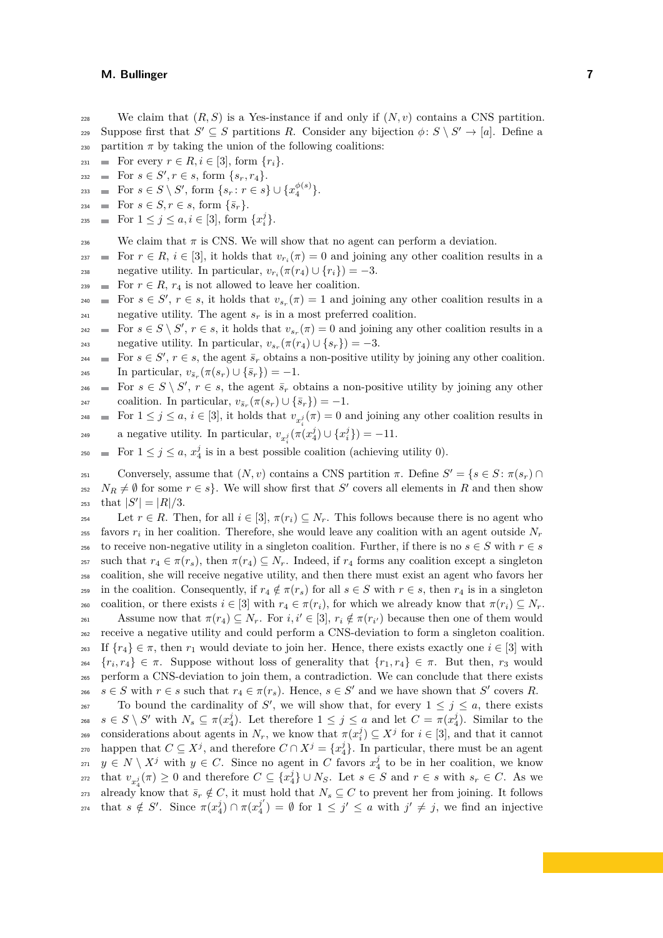228 We claim that  $(R, S)$  is a Yes-instance if and only if  $(N, v)$  contains a CNS partition. Suppose first that  $S' \subseteq S$  partitions R. Consider any bijection  $\phi \colon S \setminus S' \to [a]$ . Define a

- 230 partition  $\pi$  by taking the union of the following coalitions:
- 231 For every  $r \in R, i \in [3]$ , form  $\{r_i\}.$  $\text{For } s \in S', r \in s, \text{ form } \{s_r, r_4\}.$
- $\text{For } s \in S \setminus S', \text{ form } \{s_r : r \in s\} \cup \{x_4^{\phi(s)}\}.$
- 234 **For**  $s \in S, r \in s$ , form  $\{\bar{s}_r\}.$
- $\blacksquare$  For  $1 \leq j \leq a, i \in [3]$ , form  $\{x_i^j\}.$

<sup>236</sup> We claim that  $\pi$  is CNS. We will show that no agent can perform a deviation.

For  $r \in R$ ,  $i \in [3]$ , it holds that  $v_{r_i}(\pi) = 0$  and joining any other coalition results in a negative utility. In particular,  $v_{r_i}(\pi(r_4) \cup \{r_i\}) = -3$ .

- <sup>239</sup> For  $r \in R$ ,  $r_4$  is not allowed to leave her coalition.
- $\mathbb{F}_{240}$  = For  $s \in S'$ ,  $r \in s$ , it holds that  $v_{s_r}(\pi) = 1$  and joining any other coalition results in a  $_{241}$  negative utility. The agent  $s_r$  is in a most preferred coalition.
- $F_{242}$  **For**  $s \in S \setminus S'$ ,  $r \in s$ , it holds that  $v_{s_r}(\pi) = 0$  and joining any other coalition results in a negative utility. In particular,  $v_{s_r}(\pi(r_4) \cup \{s_r\}) = -3$ .
- $F_{244}$  **For**  $s \in S'$ ,  $r \in s$ , the agent  $\bar{s}_r$  obtains a non-positive utility by joining any other coalition.  $\text{In particular, } v_{\bar{s}_r}(\pi(s_r) \cup \{\bar{s}_r\}) = -1.$
- $F_{246}$  **For**  $s \in S \setminus S'$ ,  $r \in s$ , the agent  $\bar{s}_r$  obtains a non-positive utility by joining any other  $\text{coalition. In particular, } v_{\bar{s}_r}(\pi(s_r) \cup \{\bar{s}_r\}) = -1.$
- For  $1 \leq j \leq a$ ,  $i \in [3]$ , it holds that  $v_{x_i^j}(\pi) = 0$  and joining any other coalition results in a negative utility. In particular,  $v_{x_i^j}(\pi(x_4^j) \cup \{x_i^j\}) = -11$ .
- $F_{250}$  = For  $1 \leq j \leq a$ ,  $x_4^j$  is in a best possible coalition (achieving utility 0).

Conversely, assume that  $(N, v)$  contains a CNS partition  $\pi$ . Define  $S' = \{s \in S : \pi(s_r) \cap$ <sup>252</sup>  $N_R \neq \emptyset$  for some  $r \in s$ . We will show first that *S*<sup> $\prime$ </sup> covers all elements in *R* and then show  $_{253}$  that  $|S'| = |R|/3$ .

254 Let  $r \in R$ . Then, for all  $i \in [3]$ ,  $\pi(r_i) \subseteq N_r$ . This follows because there is no agent who  $\sum_{i=1}^{n}$  favors  $r_i$  in her coalition. Therefore, she would leave any coalition with an agent outside  $N_r$ 256 to receive non-negative utility in a singleton coalition. Further, if there is no  $s \in S$  with  $r \in s$ 257 such that  $r_4 \in \pi(r_s)$ , then  $\pi(r_4) \subseteq N_r$ . Indeed, if  $r_4$  forms any coalition except a singleton <sup>258</sup> coalition, she will receive negative utility, and then there must exist an agent who favors her <sup>259</sup> in the coalition. Consequently, if  $r_4 \notin \pi(r_s)$  for all  $s \in S$  with  $r \in s$ , then  $r_4$  is in a singleton 260 coalition, or there exists  $i \in [3]$  with  $r_4 \in \pi(r_i)$ , for which we already know that  $\pi(r_i) \subseteq N_r$ . Assume now that  $\pi(r_4) \subseteq N_r$ . For  $i, i' \in [3]$ ,  $r_i \notin \pi(r_{i'})$  because then one of them would <sup>262</sup> receive a negative utility and could perform a CNS-deviation to form a singleton coalition.

<sup>263</sup> If  ${r_4} \in \pi$ , then  $r_1$  would deviate to join her. Hence, there exists exactly one  $i \in [3]$  with  ${r_i, r_4} \in \pi$ . Suppose without loss of generality that  ${r_1, r_4} \in \pi$ . But then, *r*<sub>3</sub> would <sup>265</sup> perform a CNS-deviation to join them, a contradiction. We can conclude that there exists *s* ∈ *S* with  $r \in s$  such that  $r_4 \in \pi(r_s)$ . Hence,  $s \in S'$  and we have shown that *S'* covers *R*.

267 To bound the cardinality of *S*<sup>'</sup>, we will show that, for every  $1 \leq j \leq a$ , there exists  $s \in S \setminus S'$  with  $N_s \subseteq \pi(x_4^j)$ . Let therefore  $1 \leq j \leq a$  and let  $C = \pi(x_4^j)$ . Similar to the considerations about agents in  $N_r$ , we know that  $\pi(x_i^j) \subseteq X^j$  for  $i \in [3]$ , and that it cannot  $C \subseteq X^j$ , and therefore  $C \cap X^j = \{x_4^j\}$ . In particular, there must be an agent *y* ∈ *N* \  $X^j$  with *y* ∈ *C*. Since no agent in *C* favors  $x_4^j$  to be in her coalition, we know  $v_{x_i^j}(\pi) \geq 0$  and therefore  $C \subseteq \{x_4^j\} \cup N_S$ . Let  $s \in S$  and  $r \in s$  with  $s_r \in C$ . As we 273 already know that  $\bar{s}_r \notin C$ , it must hold that  $N_s \subseteq C$  to prevent her from joining. It follows that  $s \notin S'$ . Since  $\pi(x_4^j) \cap \pi(x_4^{j'})$ <sup>274</sup> that  $s \notin S'$ . Since  $\pi(x_4^j) \cap \pi(x_4^{j'}) = \emptyset$  for  $1 \leq j' \leq a$  with  $j' \neq j$ , we find an injective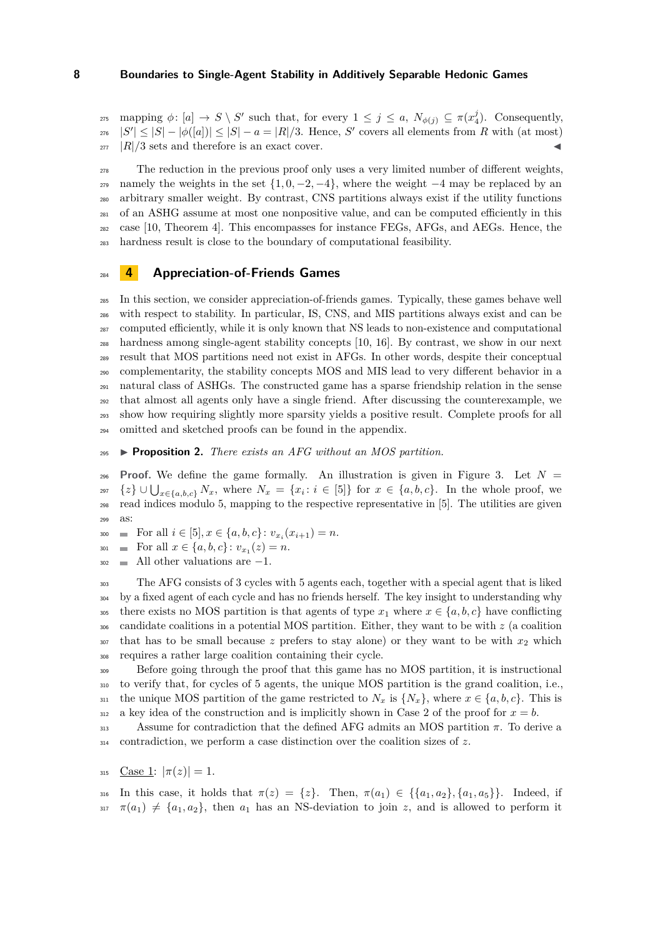$\text{supp}\log \phi: [a] \to S \setminus S' \text{ such that, for every } 1 \leq j \leq a, N_{\phi(j)} \subseteq \pi(x_4^j).$  Consequently,  $|S'| \leq |S| - |\phi([a])| \leq |S| - a = |R|/3$ . Hence, *S'* covers all elements from *R* with (at most)  $\frac{1}{277}$  |R|/3 sets and therefore is an exact cover.

 The reduction in the previous proof only uses a very limited number of different weights,  $_{279}$  namely the weights in the set  $\{1, 0, -2, -4\}$ , where the weight  $-4$  may be replaced by an arbitrary smaller weight. By contrast, CNS partitions always exist if the utility functions of an ASHG assume at most one nonpositive value, and can be computed efficiently in this case [\[10,](#page-13-6) Theorem 4]. This encompasses for instance FEGs, AFGs, and AEGs. Hence, the hardness result is close to the boundary of computational feasibility.

# **4 Appreciation-of-Friends Games**

 In this section, we consider appreciation-of-friends games. Typically, these games behave well with respect to stability. In particular, IS, CNS, and MIS partitions always exist and can be computed efficiently, while it is only known that NS leads to non-existence and computational hardness among single-agent stability concepts [\[10,](#page-13-6) [16\]](#page-13-9). By contrast, we show in our next result that MOS partitions need not exist in AFGs. In other words, despite their conceptual complementarity, the stability concepts MOS and MIS lead to very different behavior in a natural class of ASHGs. The constructed game has a sparse friendship relation in the sense that almost all agents only have a single friend. After discussing the counterexample, we show how requiring slightly more sparsity yields a positive result. Complete proofs for all omitted and sketched proofs can be found in the appendix.

<span id="page-7-0"></span>▶ **Proposition 2.** *There exists an AFG without an MOS partition.*

296 **Proof.** We define the game formally. An illustration is given in Figure [3.](#page-8-0) Let  $N =$ *z*<sup>297</sup>  $\{z\} \cup \bigcup_{x \in \{a,b,c\}} N_x$ , where  $N_x = \{x_i : i \in [5]\}$  for  $x \in \{a,b,c\}$ . In the whole proof, we read indices modulo 5, mapping to the respective representative in [5]. The utilities are given as:

 $\text{For all } i \in [5], x \in \{a, b, c\} : v_{x_i}(x_{i+1}) = n.$ 

 $\text{For all } x \in \{a, b, c\} \colon v_{x_1}(z) = n.$ 

All other valuations are  $-1$ .

 The AFG consists of 3 cycles with 5 agents each, together with a special agent that is liked by a fixed agent of each cycle and has no friends herself. The key insight to understanding why 305 there exists no MOS partition is that agents of type  $x_1$  where  $x \in \{a, b, c\}$  have conflicting candidate coalitions in a potential MOS partition. Either, they want to be with *z* (a coalition that has to be small because *z* prefers to stay alone) or they want to be with  $x_2$  which requires a rather large coalition containing their cycle.

 Before going through the proof that this game has no MOS partition, it is instructional to verify that, for cycles of 5 agents, the unique MOS partition is the grand coalition, i.e., 311 the unique MOS partition of the game restricted to  $N_x$  is  $\{N_x\}$ , where  $x \in \{a, b, c\}$ . This is a key idea of the construction and is implicitly shown in Case 2 of the proof for  $x = b$ .

 Assume for contradiction that the defined AFG admits an MOS partition *π*. To derive a contradiction, we perform a case distinction over the coalition sizes of *z*.

$$
315 \quad \underline{\text{Case 1}}: |\pi(z)| = 1.
$$

316 In this case, it holds that  $\pi(z) = \{z\}$ . Then,  $\pi(a_1) \in \{\{a_1, a_2\}, \{a_1, a_5\}\}$ . Indeed, if  $\pi(a_1) \neq \{a_1, a_2\}$ , then  $a_1$  has an NS-deviation to join *z*, and is allowed to perform it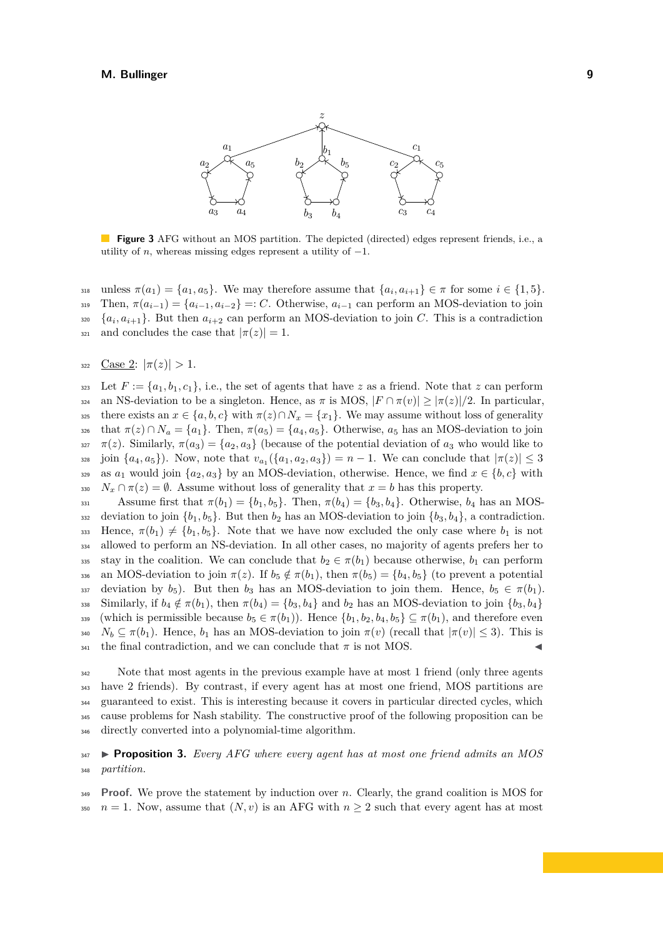<span id="page-8-0"></span>

**Figure 3** AFG without an MOS partition. The depicted (directed) edges represent friends, i.e., a utility of *n*, whereas missing edges represent a utility of  $-1$ .

 $\mathbf{m}$  unless  $\pi(a_1) = \{a_1, a_5\}$ . We may therefore assume that  $\{a_i, a_{i+1}\} \in \pi$  for some  $i \in \{1, 5\}$ . 319 Then,  $\pi(a_{i-1}) = \{a_{i-1}, a_{i-2}\} =: C$ . Otherwise,  $a_{i-1}$  can perform an MOS-deviation to join  ${a_i, a_{i+1}}$ . But then  $a_{i+2}$  can perform an MOS-deviation to join *C*. This is a contradiction 321 and concludes the case that  $|\pi(z)| = 1$ .

322 Case 2:  $|\pi(z)| > 1$ .

323 Let  $F := \{a_1, b_1, c_1\}$ , i.e., the set of agents that have *z* as a friend. Note that *z* can perform <sup>324</sup> an NS-deviation to be a singleton. Hence, as *π* is MOS, |*F* ∩ *π*(*v*)| ≥ |*π*(*z*)|*/*2. In particular, 325 there exists an  $x \in \{a, b, c\}$  with  $\pi(z) \cap N_x = \{x_1\}$ . We may assume without loss of generality 326 that  $\pi(z) \cap N_a = \{a_1\}$ . Then,  $\pi(a_5) = \{a_4, a_5\}$ . Otherwise,  $a_5$  has an MOS-deviation to join  $\pi(z)$ . Similarly,  $\pi(a_3) = \{a_2, a_3\}$  (because of the potential deviation of  $a_3$  who would like to  $j$ <sup>28</sup> join  $\{a_4, a_5\}$ ). Now, note that  $v_{a_1}(\{a_1, a_2, a_3\}) = n - 1$ . We can conclude that  $|\pi(z)| \leq 3$ 329 as  $a_1$  would join  $\{a_2, a_3\}$  by an MOS-deviation, otherwise. Hence, we find  $x \in \{b, c\}$  with 330  $N_x \cap \pi(z) = \emptyset$ . Assume without loss of generality that  $x = b$  has this property.

331 Assume first that  $\pi(b_1) = \{b_1, b_5\}$ . Then,  $\pi(b_4) = \{b_3, b_4\}$ . Otherwise,  $b_4$  has an MOS-332 deviation to join  $\{b_1, b_5\}$ . But then  $b_2$  has an MOS-deviation to join  $\{b_3, b_4\}$ , a contradiction. 333 Hence,  $\pi(b_1) \neq \{b_1, b_5\}$ . Note that we have now excluded the only case where  $b_1$  is not <sup>334</sup> allowed to perform an NS-deviation. In all other cases, no majority of agents prefers her to 335 stay in the coalition. We can conclude that  $b_2 \in \pi(b_1)$  because otherwise,  $b_1$  can perform 336 an MOS-deviation to join  $\pi(z)$ . If  $b_5 \notin \pi(b_1)$ , then  $\pi(b_5) = \{b_4, b_5\}$  (to prevent a potential 337 deviation by  $b_5$ ). But then  $b_3$  has an MOS-deviation to join them. Hence,  $b_5 \in \pi(b_1)$ .  $\sum_{338}$  Similarly, if  $b_4 \notin \pi(b_1)$ , then  $\pi(b_4) = \{b_3, b_4\}$  and  $b_2$  has an MOS-deviation to join  $\{b_3, b_4\}$ 339 (which is permissible because  $b_5 \in \pi(b_1)$ ). Hence  $\{b_1, b_2, b_4, b_5\} \subseteq \pi(b_1)$ , and therefore even  $N_b \subseteq \pi(b_1)$ . Hence,  $b_1$  has an MOS-deviation to join  $\pi(v)$  (recall that  $|\pi(v)| \leq 3$ ). This is  $_{341}$  the final contradiction, and we can conclude that  $\pi$  is not MOS.

 Note that most agents in the previous example have at most 1 friend (only three agents have 2 friends). By contrast, if every agent has at most one friend, MOS partitions are guaranteed to exist. This is interesting because it covers in particular directed cycles, which cause problems for Nash stability. The constructive proof of the following proposition can be directly converted into a polynomial-time algorithm.

<sup>347</sup> ▶ **Proposition 3.** *Every AFG where every agent has at most one friend admits an MOS* <sup>348</sup> *partition.*

**Proof.** We prove the statement by induction over *n*. Clearly, the grand coalition is MOS for <sup>350</sup>  $n = 1$ . Now, assume that  $(N, v)$  is an AFG with  $n \geq 2$  such that every agent has at most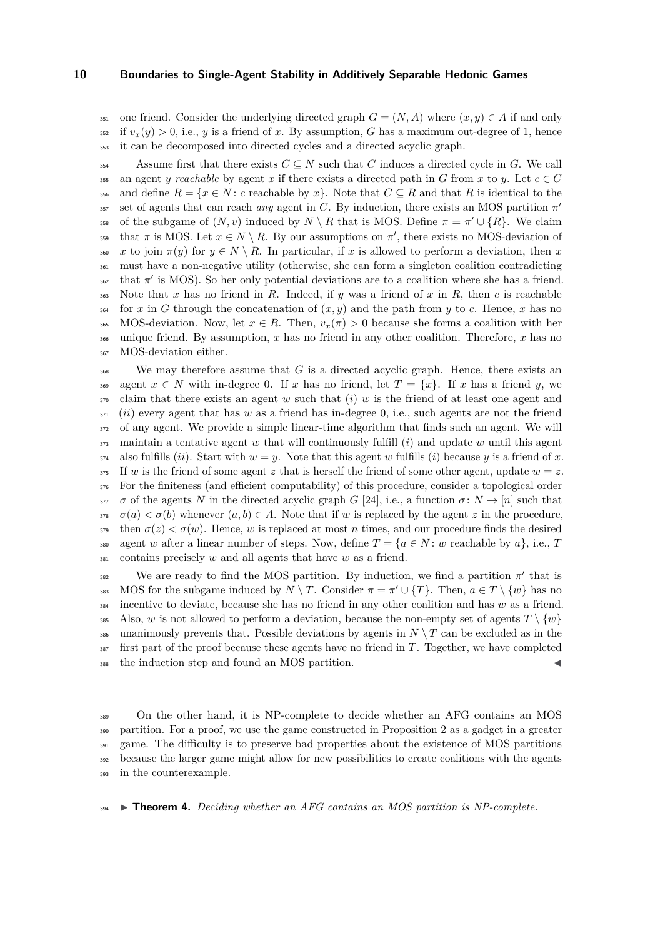351 one friend. Consider the underlying directed graph  $G = (N, A)$  where  $(x, y) \in A$  if and only  $352$  if  $v_x(y) > 0$ , i.e., *y* is a friend of *x*. By assumption, *G* has a maximum out-degree of 1, hence <sup>353</sup> it can be decomposed into directed cycles and a directed acyclic graph.

354 Assume first that there exists  $C \subseteq N$  such that *C* induces a directed cycle in *G*. We call 355 an agent *y* reachable by agent *x* if there exists a directed path in *G* from *x* to *y*. Let  $c \in C$ 356 and define  $R = \{x \in N : c \text{ reachable by } x\}$ . Note that  $C \subseteq R$  and that R is identical to the set of agents that can reach *any* agent in *C*. By induction, there exists an MOS partition  $\pi'$ 357 of the subgame of  $(N, v)$  induced by  $N \setminus R$  that is MOS. Define  $\pi = \pi' \cup \{R\}$ . We claim that  $\pi$  is MOS. Let  $x \in N \setminus R$ . By our assumptions on  $\pi'$ , there exists no MOS-deviation of 360 *x* to join  $\pi(y)$  for  $y \in N \setminus R$ . In particular, if *x* is allowed to perform a deviation, then *x* <sup>361</sup> must have a non-negative utility (otherwise, she can form a singleton coalition contradicting  $\sigma_{362}$  that  $\pi'$  is MOS). So her only potential deviations are to a coalition where she has a friend. <sup>363</sup> Note that *x* has no friend in *R*. Indeed, if *y* was a friend of *x* in *R*, then *c* is reachable <sup>364</sup> for *x* in *G* through the concatenation of  $(x, y)$  and the path from *y* to *c*. Hence, *x* has no 365 MOS-deviation. Now, let  $x \in R$ . Then,  $v_x(\pi) > 0$  because she forms a coalition with her <sup>366</sup> unique friend. By assumption, *x* has no friend in any other coalition. Therefore, *x* has no <sup>367</sup> MOS-deviation either.

<sup>368</sup> We may therefore assume that *G* is a directed acyclic graph. Hence, there exists an 369 agent  $x \in N$  with in-degree 0. If *x* has no friend, let  $T = \{x\}$ . If *x* has a friend *y*, we claim that there exists an agent *w* such that (*i*) *w* is the friend of at least one agent and (*ii*) every agent that has *w* as a friend has in-degree 0, i.e., such agents are not the friend of any agent. We provide a simple linear-time algorithm that finds such an agent. We will maintain a tentative agent *w* that will continuously fulfill (*i*) and update *w* until this agent also fulfills *(ii)*. Start with  $w = y$ . Note that this agent *w* fulfills *(i)* because *y* is a friend of *x*.  $\frac{375}{275}$  If *w* is the friend of some agent *z* that is herself the friend of some other agent, update  $w = z$ . For the finiteness (and efficient computability) of this procedure, consider a topological order *σ* of the agents *N* in the directed acyclic graph *G* [\[24\]](#page-14-6), i.e., a function  $\sigma: N \to [n]$  such that  $\sigma(a) < \sigma(b)$  whenever  $(a, b) \in A$ . Note that if *w* is replaced by the agent *z* in the procedure,  $\sigma(z) < \sigma(w)$ . Hence, *w* is replaced at most *n* times, and our procedure finds the desired 380 agent *w* after a linear number of steps. Now, define  $T = \{a \in N : w \text{ reachable by } a\}$ , i.e., *T* contains precisely *w* and all agents that have *w* as a friend.

We are ready to find the MOS partition. By induction, we find a partition  $\pi'$  that is MOS for the subgame induced by  $N \setminus T$ . Consider  $\pi = \pi' \cup \{T\}$ . Then,  $a \in T \setminus \{w\}$  has no <sup>384</sup> incentive to deviate, because she has no friend in any other coalition and has *w* as a friend. <sup>385</sup> Also, *w* is not allowed to perform a deviation, because the non-empty set of agents  $T \setminus \{w\}$ 386 unanimously prevents that. Possible deviations by agents in  $N \setminus T$  can be excluded as in the <sup>387</sup> first part of the proof because these agents have no friend in *T*. Together, we have completed 388 the induction step and found an MOS partition.

 On the other hand, it is NP-complete to decide whether an AFG contains an MOS partition. For a proof, we use the game constructed in Proposition [2](#page-7-0) as a gadget in a greater <sup>391</sup> game. The difficulty is to preserve bad properties about the existence of MOS partitions because the larger game might allow for new possibilities to create coalitions with the agents in the counterexample.

<span id="page-9-0"></span><sup>394</sup> ▶ **Theorem 4.** *Deciding whether an AFG contains an MOS partition is NP-complete.*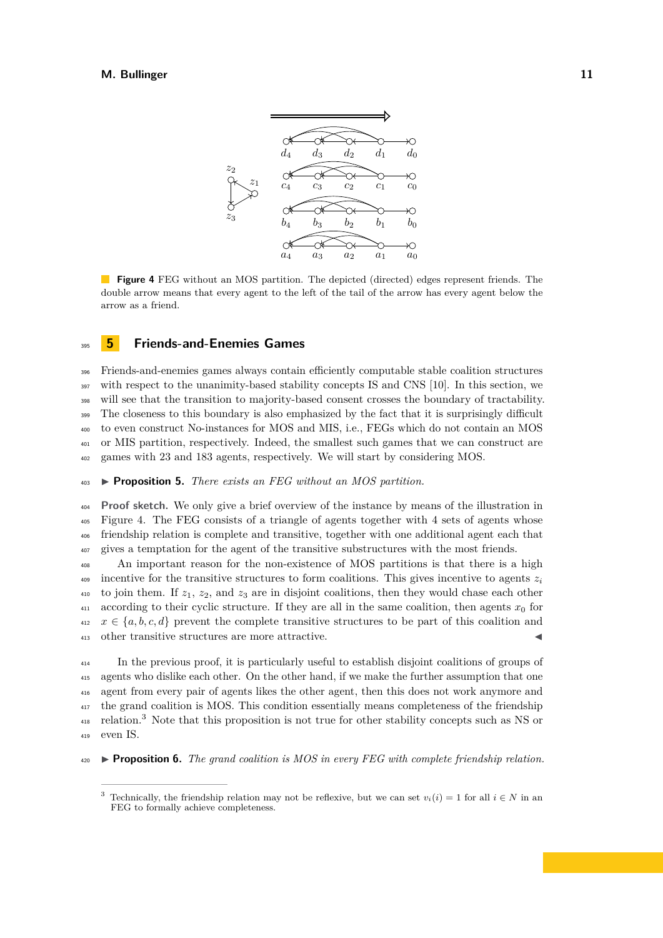<span id="page-10-0"></span>

**Figure 4** FEG without an MOS partition. The depicted (directed) edges represent friends. The double arrow means that every agent to the left of the tail of the arrow has every agent below the arrow as a friend.

# <sup>395</sup> **5 Friends-and-Enemies Games**

 Friends-and-enemies games always contain efficiently computable stable coalition structures with respect to the unanimity-based stability concepts IS and CNS [\[10\]](#page-13-6). In this section, we will see that the transition to majority-based consent crosses the boundary of tractability. The closeness to this boundary is also emphasized by the fact that it is surprisingly difficult to even construct No-instances for MOS and MIS, i.e., FEGs which do not contain an MOS or MIS partition, respectively. Indeed, the smallest such games that we can construct are games with 23 and 183 agents, respectively. We will start by considering MOS.

<span id="page-10-2"></span><sup>403</sup> ▶ **Proposition 5.** *There exists an FEG without an MOS partition.*

 **Proof sketch.** We only give a brief overview of the instance by means of the illustration in Figure [4.](#page-10-0) The FEG consists of a triangle of agents together with 4 sets of agents whose friendship relation is complete and transitive, together with one additional agent each that gives a temptation for the agent of the transitive substructures with the most friends.

<sup>408</sup> An important reason for the non-existence of MOS partitions is that there is a high incentive for the transitive structures to form coalitions. This gives incentive to agents  $z_i$ 409 410 to join them. If  $z_1$ ,  $z_2$ , and  $z_3$  are in disjoint coalitions, then they would chase each other  $_{411}$  according to their cyclic structure. If they are all in the same coalition, then agents  $x<sub>0</sub>$  for  $x \in \{a, b, c, d\}$  prevent the complete transitive structures to be part of this coalition and  $413$  other transitive structures are more attractive.

 In the previous proof, it is particularly useful to establish disjoint coalitions of groups of agents who dislike each other. On the other hand, if we make the further assumption that one agent from every pair of agents likes the other agent, then this does not work anymore and the grand coalition is MOS. This condition essentially means completeness of the friendship  $_{418}$  relation.<sup>[3](#page-10-1)</sup> Note that this proposition is not true for other stability concepts such as NS or <sup>419</sup> even IS.

<span id="page-10-3"></span><sup>420</sup> ▶ **Proposition 6.** *The grand coalition is MOS in every FEG with complete friendship relation.*

<span id="page-10-1"></span><sup>&</sup>lt;sup>3</sup> Technically, the friendship relation may not be reflexive, but we can set  $v_i(i) = 1$  for all  $i \in N$  in an FEG to formally achieve completeness.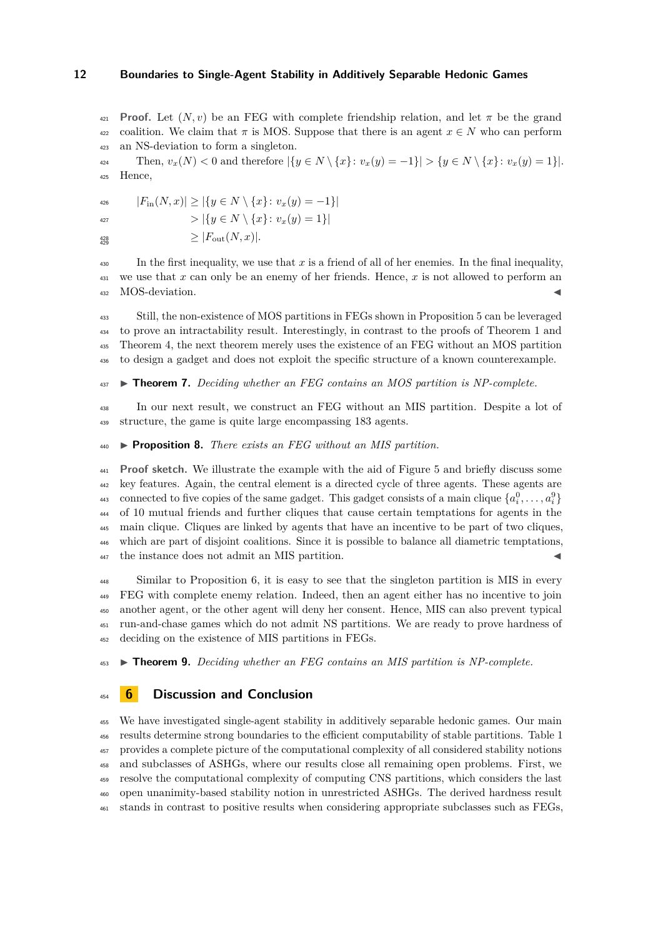**Proof.** Let  $(N, v)$  be an FEG with complete friendship relation, and let  $\pi$  be the grand <sup>422</sup> coalition. We claim that  $\pi$  is MOS. Suppose that there is an agent  $x \in N$  who can perform an NS-deviation to form a singleton.

 $v_x(y) = -1$   $\{y \in N \setminus \{x\} : v_x(y) = -1\}$   $> \{y \in N \setminus \{x\} : v_x(y) = 1\}$ . Hence,

|*F*in(*N, x*)| ≥ |{*y* ∈ *N* \ {*x*}: *vx*(*y*) = −1}|

$$
= | \{ y \in N \setminus \{x\} \colon v_x(y) = 1 \} |
$$

428<br>429

$$
\geq |F_{\text{out}}(N, x)|.
$$

 $\frac{430}{100}$  In the first inequality, we use that *x* is a friend of all of her enemies. In the final inequality, we use that *x* can only be an enemy of her friends. Hence, *x* is not allowed to perform an  $_{432}$  MOS-deviation.

 Still, the non-existence of MOS partitions in FEGs shown in Proposition [5](#page-10-2) can be leveraged to prove an intractability result. Interestingly, in contrast to the proofs of Theorem [1](#page-4-1) and Theorem [4,](#page-9-0) the next theorem merely uses the existence of an FEG without an MOS partition to design a gadget and does not exploit the specific structure of a known counterexample.

#### <span id="page-11-1"></span>▶ **Theorem 7.** *Deciding whether an FEG contains an MOS partition is NP-complete.*

 In our next result, we construct an FEG without an MIS partition. Despite a lot of structure, the game is quite large encompassing 183 agents.

#### <span id="page-11-2"></span>▶ **Proposition 8.** *There exists an FEG without an MIS partition.*

 **Proof sketch.** We illustrate the example with the aid of Figure [5](#page-12-0) and briefly discuss some key features. Again, the central element is a directed cycle of three agents. These agents are connected to five copies of the same gadget. This gadget consists of a main clique  $\{a_i^0, \ldots, a_i^0\}$  of 10 mutual friends and further cliques that cause certain temptations for agents in the main clique. Cliques are linked by agents that have an incentive to be part of two cliques, which are part of disjoint coalitions. Since it is possible to balance all diametric temptations,  $_{447}$  the instance does not admit an MIS partition.

 Similar to Proposition [6,](#page-10-3) it is easy to see that the singleton partition is MIS in every FEG with complete enemy relation. Indeed, then an agent either has no incentive to join another agent, or the other agent will deny her consent. Hence, MIS can also prevent typical run-and-chase games which do not admit NS partitions. We are ready to prove hardness of deciding on the existence of MIS partitions in FEGs.

<span id="page-11-0"></span>▶ **Theorem 9.** *Deciding whether an FEG contains an MIS partition is NP-complete.*

# **6 Discussion and Conclusion**

 We have investigated single-agent stability in additively separable hedonic games. Our main results determine strong boundaries to the efficient computability of stable partitions. Table [1](#page-12-1) provides a complete picture of the computational complexity of all considered stability notions and subclasses of ASHGs, where our results close all remaining open problems. First, we resolve the computational complexity of computing CNS partitions, which considers the last open unanimity-based stability notion in unrestricted ASHGs. The derived hardness result stands in contrast to positive results when considering appropriate subclasses such as FEGs,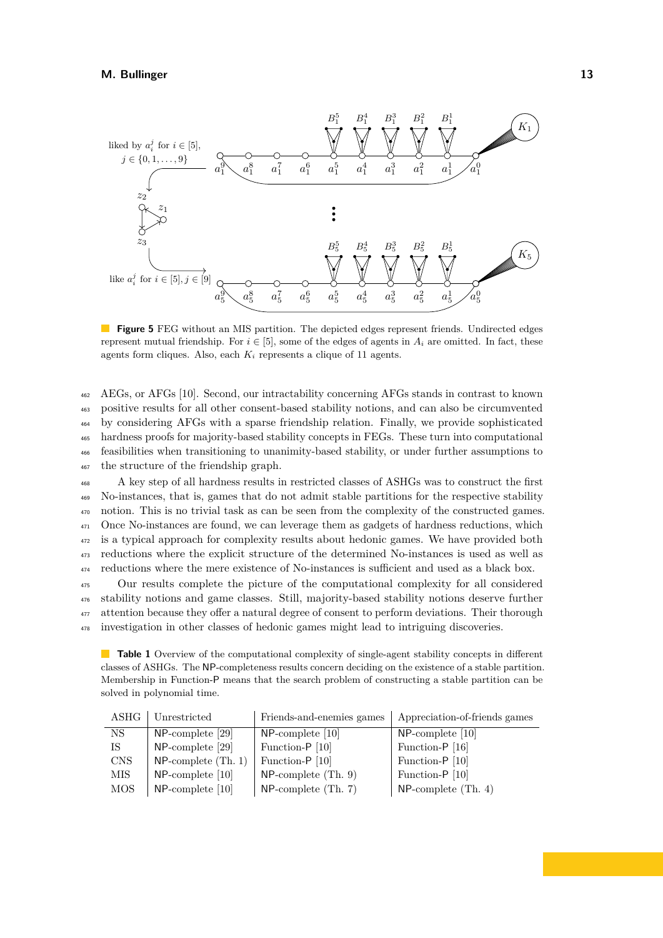<span id="page-12-0"></span>

**Figure 5** FEG without an MIS partition. The depicted edges represent friends. Undirected edges represent mutual friendship. For  $i \in [5]$ , some of the edges of agents in  $A_i$  are omitted. In fact, these agents form cliques. Also, each  $K_i$  represents a clique of 11 agents.

 AEGs, or AFGs [\[10\]](#page-13-6). Second, our intractability concerning AFGs stands in contrast to known positive results for all other consent-based stability notions, and can also be circumvented by considering AFGs with a sparse friendship relation. Finally, we provide sophisticated hardness proofs for majority-based stability concepts in FEGs. These turn into computational feasibilities when transitioning to unanimity-based stability, or under further assumptions to the structure of the friendship graph.

 A key step of all hardness results in restricted classes of ASHGs was to construct the first No-instances, that is, games that do not admit stable partitions for the respective stability notion. This is no trivial task as can be seen from the complexity of the constructed games. Once No-instances are found, we can leverage them as gadgets of hardness reductions, which is a typical approach for complexity results about hedonic games. We have provided both reductions where the explicit structure of the determined No-instances is used as well as reductions where the mere existence of No-instances is sufficient and used as a black box.

 Our results complete the picture of the computational complexity for all considered stability notions and game classes. Still, majority-based stability notions deserve further attention because they offer a natural degree of consent to perform deviations. Their thorough investigation in other classes of hedonic games might lead to intriguing discoveries.

<span id="page-12-1"></span>**Table 1** Overview of the computational complexity of single-agent stability concepts in different classes of ASHGs. The NP-completeness results concern deciding on the existence of a stable partition. Membership in Function-P means that the search problem of constructing a stable partition can be solved in polynomial time.

|    | ASHG       | Unrestricted           | Friends-and-enemies games | Appreciation-of-friends games |
|----|------------|------------------------|---------------------------|-------------------------------|
|    | NS         | $NP$ -complete [29]    | $NP$ -complete [10]       | $NP$ -complete [10]           |
| IS |            | $NP$ -complete [29]    | Function-P [10]           | Function-P [16]               |
|    | <b>CNS</b> | $NP$ -complete (Th. 1) | Function-P [10]           | Function-P [10]               |
|    | MIS-       | $NP$ -complete [10]    | $NP$ -complete $(Th. 9)$  | Function-P [10]               |
|    | MOS        | $NP$ -complete [10]    | $NP$ -complete (Th. 7)    | $NP$ -complete (Th. 4)        |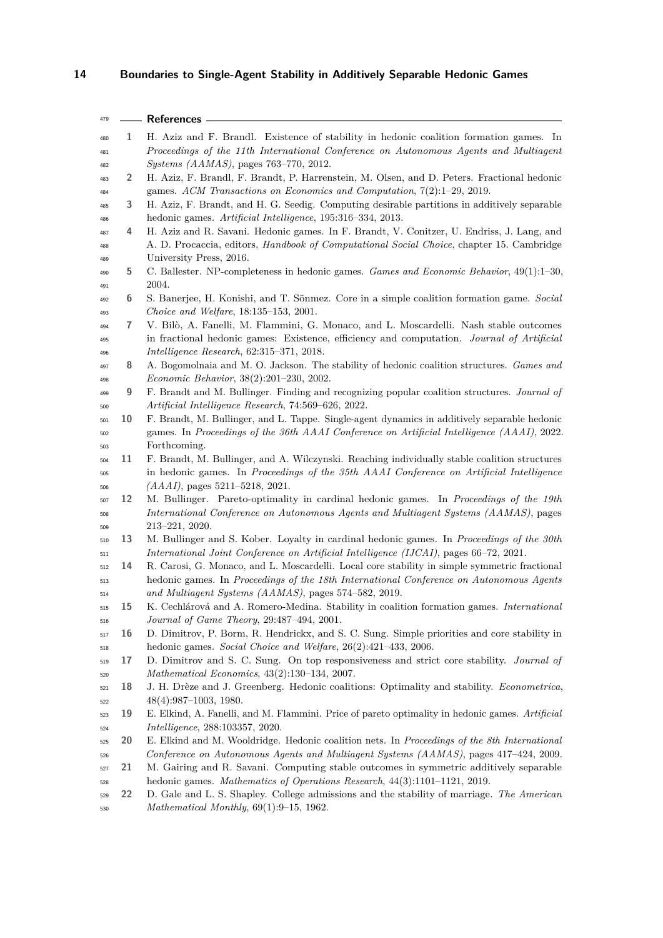<span id="page-13-21"></span><span id="page-13-20"></span><span id="page-13-19"></span><span id="page-13-18"></span><span id="page-13-17"></span><span id="page-13-16"></span><span id="page-13-15"></span><span id="page-13-14"></span><span id="page-13-13"></span><span id="page-13-12"></span><span id="page-13-11"></span><span id="page-13-10"></span><span id="page-13-9"></span><span id="page-13-8"></span><span id="page-13-7"></span><span id="page-13-6"></span><span id="page-13-5"></span><span id="page-13-4"></span><span id="page-13-3"></span><span id="page-13-2"></span><span id="page-13-1"></span><span id="page-13-0"></span>

| 479        |    | References -                                                                                               |
|------------|----|------------------------------------------------------------------------------------------------------------|
| 480        | 1  | H. Aziz and F. Brandl. Existence of stability in hedonic coalition formation games. In                     |
| 481        |    | Proceedings of the 11th International Conference on Autonomous Agents and Multiagent                       |
| 482        |    | <i>Systems (AAMAS)</i> , pages 763-770, 2012.                                                              |
| 483        | 2  | H. Aziz, F. Brandl, F. Brandt, P. Harrenstein, M. Olsen, and D. Peters. Fractional hedonic                 |
| 484        |    | games. ACM Transactions on Economics and Computation, 7(2):1-29, 2019.                                     |
| 485        | 3  | H. Aziz, F. Brandt, and H. G. Seedig. Computing desirable partitions in additively separable               |
| 486        |    | hedonic games. Artificial Intelligence, 195:316-334, 2013.                                                 |
| 487        | 4  | H. Aziz and R. Savani. Hedonic games. In F. Brandt, V. Conitzer, U. Endriss, J. Lang, and                  |
| 488        |    | A. D. Procaccia, editors, <i>Handbook of Computational Social Choice</i> , chapter 15. Cambridge           |
| 489        |    | University Press, 2016.                                                                                    |
| 490        | 5  | C. Ballester. NP-completeness in hedonic games. Games and Economic Behavior, 49(1):1-30,                   |
| 491        |    | 2004.                                                                                                      |
| 492        | 6  | S. Banerjee, H. Konishi, and T. Sönmez. Core in a simple coalition formation game. Social                  |
| 493        |    | Choice and Welfare, $18:135-153$ , $2001$ .                                                                |
| 494        | 7  | V. Bilò, A. Fanelli, M. Flammini, G. Monaco, and L. Moscardelli. Nash stable outcomes                      |
| 495        |    | in fractional hedonic games: Existence, efficiency and computation. Journal of Artificial                  |
| 496        |    | Intelligence Research, $62:315-371$ , $2018$ .                                                             |
| 497        | 8  | A. Bogomolnaia and M. O. Jackson. The stability of hedonic coalition structures. Games and                 |
| 498        |    | Economic Behavior, 38(2):201-230, 2002.                                                                    |
| 499        | 9  | F. Brandt and M. Bullinger. Finding and recognizing popular coalition structures. Journal of               |
| 500        |    | Artificial Intelligence Research, 74:569-626, 2022.                                                        |
| 501        | 10 | F. Brandt, M. Bullinger, and L. Tappe. Single-agent dynamics in additively separable hedonic               |
| 502        |    | games. In Proceedings of the 36th AAAI Conference on Artificial Intelligence (AAAI), 2022.<br>Forthcoming. |
| 503        | 11 | F. Brandt, M. Bullinger, and A. Wilczynski. Reaching individually stable coalition structures              |
| 504        |    | in hedonic games. In Proceedings of the 35th AAAI Conference on Artificial Intelligence                    |
| 505<br>506 |    | $(AAAI)$ , pages 5211-5218, 2021.                                                                          |
| 507        | 12 | M. Bullinger. Pareto-optimality in cardinal hedonic games. In Proceedings of the 19th                      |
| 508        |    | International Conference on Autonomous Agents and Multiagent Systems (AAMAS), pages                        |
| 509        |    | $213 - 221$ , 2020.                                                                                        |
| 510        | 13 | M. Bullinger and S. Kober. Loyalty in cardinal hedonic games. In Proceedings of the 30th                   |
| 511        |    | International Joint Conference on Artificial Intelligence (IJCAI), pages 66–72, 2021.                      |
| 512        | 14 | R. Carosi, G. Monaco, and L. Moscardelli. Local core stability in simple symmetric fractional              |
| 513        |    | hedonic games. In Proceedings of the 18th International Conference on Autonomous Agents                    |
| 514        |    | and Multiagent Systems (AAMAS), pages 574-582, 2019.                                                       |
| 515        | 15 | K. Cechlárová and A. Romero-Medina. Stability in coalition formation games. International                  |
| 516        |    | Journal of Game Theory, 29:487-494, 2001.                                                                  |
| 517        | 16 | D. Dimitrov, P. Borm, R. Hendrickx, and S. C. Sung. Simple priorities and core stability in                |
| 518        |    | hedonic games. Social Choice and Welfare, 26(2):421-433, 2006.                                             |
| 519        | 17 | D. Dimitrov and S. C. Sung. On top responsiveness and strict core stability. Journal of                    |
| 520        |    | Mathematical Economics, 43(2):130-134, 2007.                                                               |
| 521        | 18 | J. H. Drèze and J. Greenberg. Hedonic coalitions: Optimality and stability. Econometrica,                  |
| 522        |    | $48(4):987-1003, 1980.$                                                                                    |
| 523        | 19 | E. Elkind, A. Fanelli, and M. Flammini. Price of pareto optimality in hedonic games. Artificial            |
| 524        |    | <i>Intelligence</i> , 288:103357, 2020.                                                                    |
| 525        | 20 | E. Elkind and M. Wooldridge. Hedonic coalition nets. In Proceedings of the 8th International               |
| 526        |    | Conference on Autonomous Agents and Multiagent Systems (AAMAS), pages 417–424, 2009.                       |
| 527        | 21 | M. Gairing and R. Savani. Computing stable outcomes in symmetric additively separable                      |
| 528        |    | hedonic games. Mathematics of Operations Research, 44(3):1101-1121, 2019.                                  |
| 529        | 22 | D. Gale and L. S. Shapley. College admissions and the stability of marriage. The American                  |
| 530        |    | Mathematical Monthly, 69(1):9-15, 1962.                                                                    |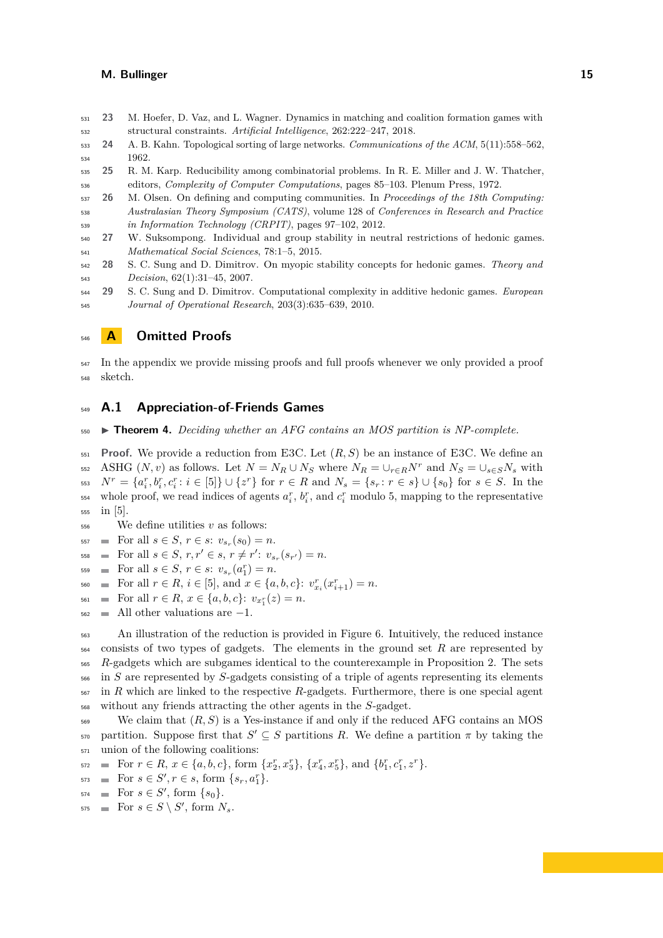- <span id="page-14-4"></span> **23** M. Hoefer, D. Vaz, and L. Wagner. Dynamics in matching and coalition formation games with structural constraints. *Artificial Intelligence*, 262:222–247, 2018.
- <span id="page-14-6"></span> **24** A. B. Kahn. Topological sorting of large networks. *Communications of the ACM*, 5(11):558–562, 1962.
- <span id="page-14-5"></span> **25** R. M. Karp. Reducibility among combinatorial problems. In R. E. Miller and J. W. Thatcher, editors, *Complexity of Computer Computations*, pages 85–103. Plenum Press, 1972.
- <span id="page-14-3"></span> **26** M. Olsen. On defining and computing communities. In *Proceedings of the 18th Computing: Australasian Theory Symposium (CATS)*, volume 128 of *Conferences in Research and Practice in Information Technology (CRPIT)*, pages 97–102, 2012.
- <span id="page-14-2"></span> **27** W. Suksompong. Individual and group stability in neutral restrictions of hedonic games. *Mathematical Social Sciences*, 78:1–5, 2015.
- <span id="page-14-0"></span> **28** S. C. Sung and D. Dimitrov. On myopic stability concepts for hedonic games. *Theory and Decision*, 62(1):31–45, 2007.
- <span id="page-14-1"></span> **29** S. C. Sung and D. Dimitrov. Computational complexity in additive hedonic games. *European Journal of Operational Research*, 203(3):635–639, 2010.

# **A Omitted Proofs**

<sup>547</sup> In the appendix we provide missing proofs and full proofs whenever we only provided a proof sketch.

# **A.1 Appreciation-of-Friends Games**

▶ **Theorem 4.** *Deciding whether an AFG contains an MOS partition is NP-complete.*

 **Proof.** We provide a reduction from E3C. Let (*R, S*) be an instance of E3C. We define an 552 ASHG  $(N, v)$  as follows. Let  $N = N_R \cup N_S$  where  $N_R = \cup_{r \in R} N^r$  and  $N_S = \cup_{s \in S} N_s$  with 553  $N^r = \{a_i^r, b_i^r, c_i^r : i \in [5]\} \cup \{z^r\}$  for  $r \in R$  and  $N_s = \{s_r : r \in s\} \cup \{s_0\}$  for  $s \in S$ . In the  $\frac{1}{254}$  whole proof, we read indices of agents  $a_i^r$ ,  $b_i^r$ , and  $c_i^r$  modulo 5, mapping to the representative in [5].

- We define utilities *v* as follows:
- $\text{For all } s \in S, r \in s: v_{s_r}(s_0) = n.$
- $\text{For all } s \in S, r, r' \in s, r \neq r': v_{s_r}(s_{r'}) = n.$
- $\text{For all } s \in S, r \in s: v_{s_r}(a_1^r) = n.$
- $F_{560}$  = For all  $r \in R$ ,  $i \in [5]$ , and  $x \in \{a, b, c\}$ :  $v_{x_i}^r(x_{i+1}^r) = n$ .
- $F_{\text{561}}$   $\blacksquare$  For all  $r \in R$ ,  $x \in \{a, b, c\}$ :  $v_{x_1}(z) = n$ .
- All other valuations are  $-1$ .

<sup>563</sup> An illustration of the reduction is provided in Figure [6.](#page-15-0) Intuitively, the reduced instance consists of two types of gadgets. The elements in the ground set *R* are represented by <sub>565</sub> *R*-gadgets which are subgames identical to the counterexample in Proposition [2.](#page-7-0) The sets in *S* are represented by *S*-gadgets consisting of a triple of agents representing its elements in *R* which are linked to the respective *R*-gadgets. Furthermore, there is one special agent without any friends attracting the other agents in the *S*-gadget.

 We claim that (*R, S*) is a Yes-instance if and only if the reduced AFG contains an MOS  $\mathsf{S}_{70}$  partition. Suppose first that  $S' \subseteq S$  partitions R. We define a partition  $\pi$  by taking the union of the following coalitions:

- $\mathbb{F}^2$   $\equiv$  For  $r \in R$ ,  $x \in \{a, b, c\}$ , form  $\{x_2^r, x_3^r\}$ ,  $\{x_4^r, x_5^r\}$ , and  $\{b_1^r, c_1^r, z^r\}$ .
- $\text{For } s \in S', r \in s, \text{ form } \{s_r, a_1^r\}.$
- $574 \quad \blacksquare \quad \text{For } s \in S', \text{ form } \{s_0\}.$
- $\text{For } s \in S \setminus S' \text{, form } N_s.$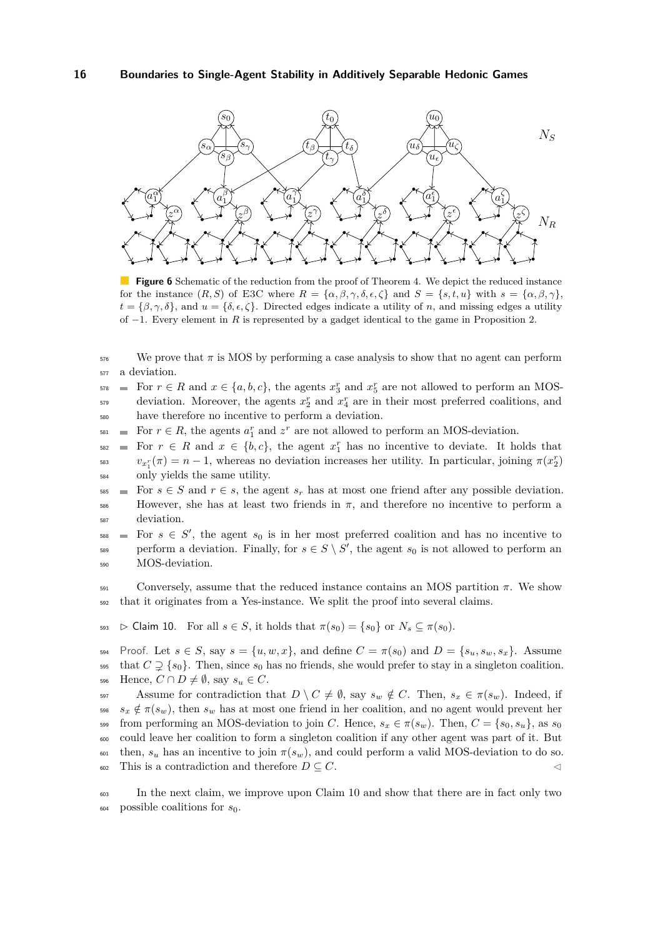<span id="page-15-0"></span>

**Figure 6** Schematic of the reduction from the proof of Theorem [4.](#page-9-0) We depict the reduced instance for the instance  $(R, S)$  of E3C where  $R = {\alpha, \beta, \gamma, \delta, \epsilon, \zeta}$  and  $S = {s, t, u}$  with  $s = {\alpha, \beta, \gamma}$ ,  $t = \{\beta, \gamma, \delta\},$  and  $u = \{\delta, \epsilon, \zeta\}.$  Directed edges indicate a utility of *n*, and missing edges a utility of −1. Every element in *R* is represented by a gadget identical to the game in Proposition [2.](#page-7-0)

 $576$  We prove that  $\pi$  is MOS by performing a case analysis to show that no agent can perform <sup>577</sup> a deviation.

 $F_{578}$  = For  $r \in R$  and  $x \in \{a, b, c\}$ , the agents  $x_3^r$  and  $x_5^r$  are not allowed to perform an MOSdeviation. Moreover, the agents  $x_2^r$  and  $x_4^r$  are in their most preferred coalitions, and <sup>580</sup> have therefore no incentive to perform a deviation.

 $F_{\text{581}}$  = For  $r \in R$ , the agents  $a_1^r$  and  $z^r$  are not allowed to perform an MOS-deviation.

 $F_{582}$  = For  $r \in R$  and  $x \in \{b, c\}$ , the agent  $x_1^r$  has no incentive to deviate. It holds that  $v_{x_1^r}(\pi) = n - 1$ , whereas no deviation increases her utility. In particular, joining  $\pi(x_2^r)$ <sup>584</sup> only yields the same utility.

 $\text{585}$  For  $s \in S$  and  $r \in s$ , the agent  $s_r$  has at most one friend after any possible deviation.  $586$  However, she has at least two friends in  $π$ , and therefore no incentive to perform a <sup>587</sup> deviation.

 $s_{588}$  = For  $s \in S'$ , the agent  $s_0$  is in her most preferred coalition and has no incentive to perform a deviation. Finally, for  $s \in S \setminus S'$ , the agent  $s_0$  is not allowed to perform an <sup>590</sup> MOS-deviation.

<sup>591</sup> Conversely, assume that the reduced instance contains an MOS partition *π*. We show <sup>592</sup> that it originates from a Yes-instance. We split the proof into several claims.

<span id="page-15-1"></span>593  $\triangleright$  Claim 10. For all  $s \in S$ , it holds that  $\pi(s_0) = \{s_0\}$  or  $N_s \subseteq \pi(s_0)$ .

594 Proof. Let  $s \in S$ , say  $s = \{u, w, x\}$ , and define  $C = \pi(s_0)$  and  $D = \{s_u, s_w, s_x\}$ . Assume 595 that  $C \supseteq \{s_0\}$ . Then, since  $s_0$  has no friends, she would prefer to stay in a singleton coalition. 596 Hence,  $C \cap D \neq \emptyset$ , say  $s_u \in C$ .

597 Assume for contradiction that  $D \setminus C \neq \emptyset$ , say  $s_w \notin C$ . Then,  $s_x \in \pi(s_w)$ . Indeed, if  $s_3$   $s_x \notin \pi(s_w)$ , then  $s_w$  has at most one friend in her coalition, and no agent would prevent her 599 from performing an MOS-deviation to join *C*. Hence,  $s_x \in \pi(s_w)$ . Then,  $C = \{s_0, s_u\}$ , as  $s_0$ <sup>600</sup> could leave her coalition to form a singleton coalition if any other agent was part of it. But 601 then,  $s_u$  has an incentive to join  $\pi(s_w)$ , and could perform a valid MOS-deviation to do so. 602 This is a contradiction and therefore  $D \subseteq C$ .

<span id="page-15-2"></span><sup>603</sup> In the next claim, we improve upon Claim [10](#page-15-1) and show that there are in fact only two  $\begin{array}{ll}\n\text{604} \\
\text{604} \\
\text{605} \\
\text{606} \\
\text{608} \\
\text{609} \\
\text{600} \\
\text{600} \\
\text{600} \\
\text{600} \\
\text{600} \\
\text{600} \\
\text{600} \\
\text{600} \\
\text{600} \\
\text{600} \\
\text{600} \\
\text{600} \\
\text{600} \\
\text{600} \\
\text{600} \\
\text{600} \\
\text{600} \\
\text{600} \\
\text{600} \\
\text{600} \\
\text{6$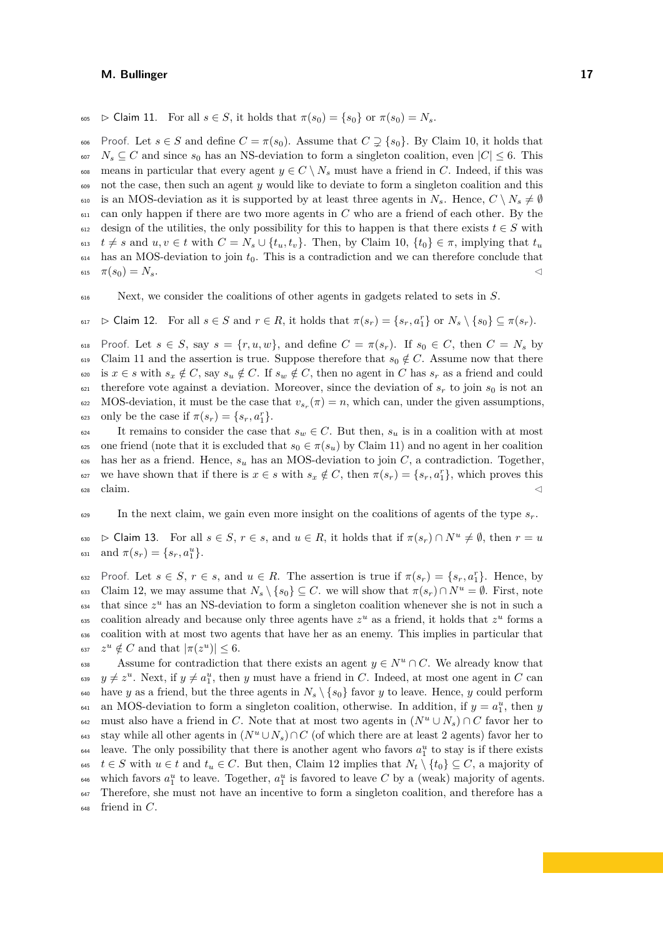605  $\triangleright$  Claim 11. For all  $s \in S$ , it holds that  $\pi(s_0) = \{s_0\}$  or  $\pi(s_0) = N_s$ .

606 Proof. Let  $s \in S$  and define  $C = \pi(s_0)$ . Assume that  $C \supseteq \{s_0\}$ . By Claim [10,](#page-15-1) it holds that  $N_s \subseteq C$  and since  $s_0$  has an NS-deviation to form a singleton coalition, even  $|C| \leq 6$ . This 608 means in particular that every agent  $y \in C \setminus N_s$  must have a friend in *C*. Indeed, if this was <sup>609</sup> not the case, then such an agent *y* would like to deviate to form a singleton coalition and this 610 is an MOS-deviation as it is supported by at least three agents in  $N_s$ . Hence,  $C \setminus N_s \neq \emptyset$ <sup>611</sup> can only happen if there are two more agents in *C* who are a friend of each other. By the 612 design of the utilities, the only possibility for this to happen is that there exists  $t \in S$  with 613 *t*  $\neq$  *s* and *u*, *v*  $\in$  *t* with  $C = N_s \cup \{t_u, t_v\}$ . Then, by Claim [10,](#page-15-1)  $\{t_0\} \in \pi$ , implying that  $t_u$  $614$  has an MOS-deviation to join  $t_0$ . This is a contradiction and we can therefore conclude that  $\pi(s_0) = N_s.$ 

<sup>616</sup> Next, we consider the coalitions of other agents in gadgets related to sets in *S*.

<span id="page-16-0"></span> $\mathcal{L}_{617}$   $\triangleright$  Claim 12. For all  $s \in S$  and  $r \in R$ , it holds that  $\pi(s_r) = \{s_r, a_1^r\}$  or  $N_s \setminus \{s_0\} \subseteq \pi(s_r)$ .

618 Proof. Let  $s \in S$ , say  $s = \{r, u, w\}$ , and define  $C = \pi(s_r)$ . If  $s_0 \in C$ , then  $C = N_s$  by 619 Claim [11](#page-15-2) and the assertion is true. Suppose therefore that  $s_0 \notin C$ . Assume now that there 620 is  $x \in s$  with  $s_x \notin C$ , say  $s_y \notin C$ . If  $s_w \notin C$ , then no agent in *C* has  $s_r$  as a friend and could 621 therefore vote against a deviation. Moreover, since the deviation of  $s_r$  to join  $s_0$  is not an 622 MOS-deviation, it must be the case that  $v_{s_r}(\pi) = n$ , which can, under the given assumptions,  $\text{c}_{623}$  only be the case if  $\pi(s_r) = \{s_r, a_1^r\}.$ 

624 It remains to consider the case that  $s_w \in C$ . But then,  $s_u$  is in a coalition with at most 625 one friend (note that it is excluded that  $s_0 \in \pi(s_u)$  by Claim [11\)](#page-15-2) and no agent in her coalition  $\epsilon_{626}$  has her as a friend. Hence,  $s_u$  has an MOS-deviation to join *C*, a contradiction. Together, we have shown that if there is  $x \in s$  with  $s_x \notin C$ , then  $\pi(s_r) = \{s_r, a_1^r\}$ , which proves this  $\epsilon$ <sub>628</sub> claim.

<span id="page-16-1"></span> $\epsilon_{629}$  In the next claim, we gain even more insight on the coalitions of agents of the type  $s_r$ .

 $\sum_{s=1}^{s}$   $\in$  Claim 13. For all  $s \in S$ ,  $r \in s$ , and  $u \in R$ , it holds that if  $\pi(s_r) \cap N^u \neq \emptyset$ , then  $r = u$  $\text{and } \pi(s_r) = \{s_r, a_1^u\}.$ 

 $S_{32}$  Proof. Let  $s \in S$ ,  $r \in s$ , and  $u \in R$ . The assertion is true if  $\pi(s_r) = \{s_r, a_1^r\}$ . Hence, by 633 Claim [12,](#page-16-0) we may assume that  $N_s \setminus \{s_0\} \subseteq C$ . we will show that  $\pi(s_r) \cap N^u = \emptyset$ . First, note  $_{634}$  that since  $z^u$  has an NS-deviation to form a singleton coalition whenever she is not in such a coalition already and because only three agents have  $z^u$  as a friend, it holds that  $z^u$  forms a <sup>636</sup> coalition with at most two agents that have her as an enemy. This implies in particular that  $z^u \notin C$  and that  $|\pi(z^u)| \leq 6$ .

Assume for contradiction that there exists an agent  $y \in N^u \cap C$ . We already know that  $y \neq z^u$ . Next, if  $y \neq a_1^u$ , then *y* must have a friend in *C*. Indeed, at most one agent in *C* can 640 have *y* as a friend, but the three agents in  $N_s \setminus \{s_0\}$  favor *y* to leave. Hence, *y* could perform  $\alpha_{41}$  an MOS-deviation to form a singleton coalition, otherwise. In addition, if  $y = a_1^u$ , then *y*  $\mathbb{R}^{42}$  must also have a friend in *C*. Note that at most two agents in  $(N^u \cup N_s) \cap C$  favor her to stay while all other agents in  $(N^u \cup N_s) \cap C$  (of which there are at least 2 agents) favor her to <sup>644</sup> leave. The only possibility that there is another agent who favors  $a_1^u$  to stay is if there exists 645 *t* ∈ *S* with  $u \in t$  and  $t_u \in C$ . But then, Claim [12](#page-16-0) implies that  $N_t \setminus \{t_0\} \subseteq C$ , a majority of <sup>646</sup> which favors  $a_1^u$  to leave. Together,  $a_1^u$  is favored to leave *C* by a (weak) majority of agents. <sup>647</sup> Therefore, she must not have an incentive to form a singleton coalition, and therefore has a <sup>648</sup> friend in *C*.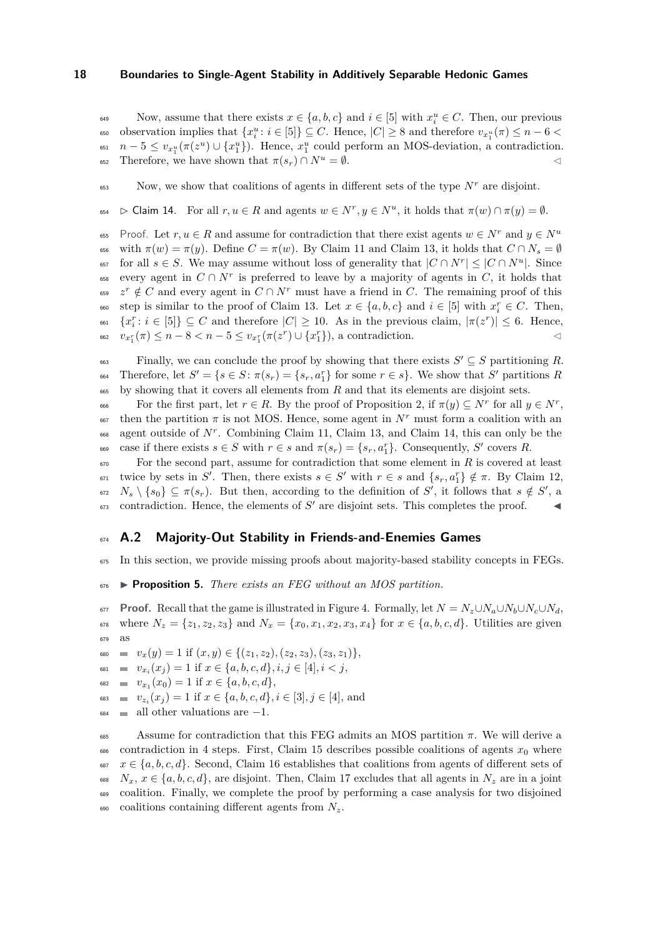Now, assume that there exists  $x \in \{a, b, c\}$  and  $i \in [5]$  with  $x_i^u \in C$ . Then, our previous  $\mathbb{R}^n$  observation implies that  $\{x_i^u : i \in [5]\} \subseteq C$ . Hence,  $|C| \geq 8$  and therefore  $v_{x_1^u}(\pi) \leq n - 6$ <sup>651</sup>  $n-5 \le v_{x_1^u}(\pi(z^u) \cup \{x_1^u\})$ . Hence,  $x_1^u$  could perform an MOS-deviation, a contradiction. 652 Therefore, we have shown that  $\pi(s_r) \cap N^u = \emptyset$ .

<span id="page-17-0"></span>Now, we show that coalitions of agents in different sets of the type  $N^r$  are disjoint.

 $\mathcal{L}_{654}$  ⊳ Claim 14. For all *r*, *u* ∈ *R* and agents  $w ∈ N^r, y ∈ N^u$ , it holds that  $\pi(w) ∩ \pi(y) = ∅$ .

Proof. Let  $r, u \in R$  and assume for contradiction that there exist agents  $w \in N^r$  and  $y \in N^u$ 655 656 with  $\pi(w) = \pi(y)$ . Define  $C = \pi(w)$ . By Claim [11](#page-15-2) and Claim [13,](#page-16-1) it holds that  $C \cap N_s = \emptyset$ for all  $s \in S$ . We may assume without loss of generality that  $|C \cap N^r| \leq |C \cap N^u|$ . Since  $\epsilon_{658}$  every agent in  $C \cap N^r$  is preferred to leave by a majority of agents in *C*, it holds that  $z^r \notin C$  and every agent in  $C \cap N^r$  must have a friend in *C*. The remaining proof of this  $s_{60}$  step is similar to the proof of Claim [13.](#page-16-1) Let  $x \in \{a, b, c\}$  and  $i \in [5]$  with  $x_i^r \in C$ . Then,  $\{x_i^r : i \in [5]\} \subseteq C$  and therefore  $|C| \ge 10$ . As in the previous claim,  $|\pi(z^r)| \le 6$ . Hence,  $v_{x_1^r}(\pi) \leq n - 8 < n - 5 \leq v_{x_1^r}(\pi(z^r) \cup \{x_1^r\}),$  a contradiction.

Finally, we can conclude the proof by showing that there exists  $S' \subseteq S$  partitioning R.  $S^4$  Therefore, let  $S' = \{s \in S : \pi(s_r) = \{s_r, a_1\} \text{ for some } r \in s\}$ . We show that  $S'$  partitions  $R$ <sup>665</sup> by showing that it covers all elements from *R* and that its elements are disjoint sets.

For the first part, let  $r \in R$ . By the proof of Proposition [2,](#page-7-0) if  $\pi(y) \subseteq N^r$  for all  $y \in N^r$ , 667 then the partition  $\pi$  is not MOS. Hence, some agent in  $N^r$  must form a coalition with an 668 agent outside of N<sup>r</sup>. Combining Claim [11,](#page-15-2) Claim [13,](#page-16-1) and Claim [14,](#page-17-0) this can only be the case if there exists  $s \in S$  with  $r \in s$  and  $\pi(s_r) = \{s_r, a_1^r\}$ . Consequently, S' covers R.

<sup>670</sup> For the second part, assume for contradiction that some element in *R* is covered at least twice by sets in *S'*. Then, there exists  $s \in S'$  with  $r \in s$  and  $\{s_r, a_1^r\} \notin \pi$ . By Claim [12,](#page-16-0)  $N_s \setminus \{s_0\} \subseteq \pi(s_r)$ . But then, according to the definition of *S*<sup>'</sup>, it follows that  $s \notin S'$ , a  $\epsilon_{673}$  contradiction. Hence, the elements of *S'* are disjoint sets. This completes the proof.  $\blacktriangleleft$ 

# <sup>674</sup> **A.2 Majority-Out Stability in Friends-and-Enemies Games**

<sup>675</sup> In this section, we provide missing proofs about majority-based stability concepts in FEGs.

<sup>676</sup> ▶ **Proposition 5.** *There exists an FEG without an MOS partition.*

677 **Proof.** Recall that the game is illustrated in Figure [4.](#page-10-0) Formally, let  $N = N_z \cup N_a \cup N_b \cup N_c \cup N_d$ , 678 where  $N_z = \{z_1, z_2, z_3\}$  and  $N_x = \{x_0, x_1, x_2, x_3, x_4\}$  for  $x \in \{a, b, c, d\}$ . Utilities are given <sup>679</sup> as

680 **v**  $v_x(y) = 1$  if  $(x, y) \in \{(z_1, z_2), (z_2, z_3), (z_3, z_1)\},$ 

- $v_{x_i}(x_j) = 1$  if  $x \in \{a, b, c, d\}, i, j \in [4], i < j$ ,
- $v_{x_1}(x_0) = 1$  if  $x \in \{a, b, c, d\},$
- $v_{z_i}(x_j) = 1$  if  $x \in \{a, b, c, d\}, i \in [3], j \in [4]$ , and
- $\epsilon_{684}$  all other valuations are  $-1$ .

<span id="page-17-1"></span> Assume for contradiction that this FEG admits an MOS partition  $π$ . We will derive a 686 contradiction in 4 steps. First, Claim [15](#page-17-1) describes possible coalitions of agents  $x_0$  where <sup>687</sup>  $x \in \{a, b, c, d\}$ . Second, Claim [16](#page-18-0) establishes that coalitions from agents of different sets of *N<sub>x</sub>*,  $x \in \{a, b, c, d\}$ , are disjoint. Then, Claim [17](#page-18-1) excludes that all agents in  $N_z$  are in a joint coalition. Finally, we complete the proof by performing a case analysis for two disjoined coalitions containing different agents from *Nz*.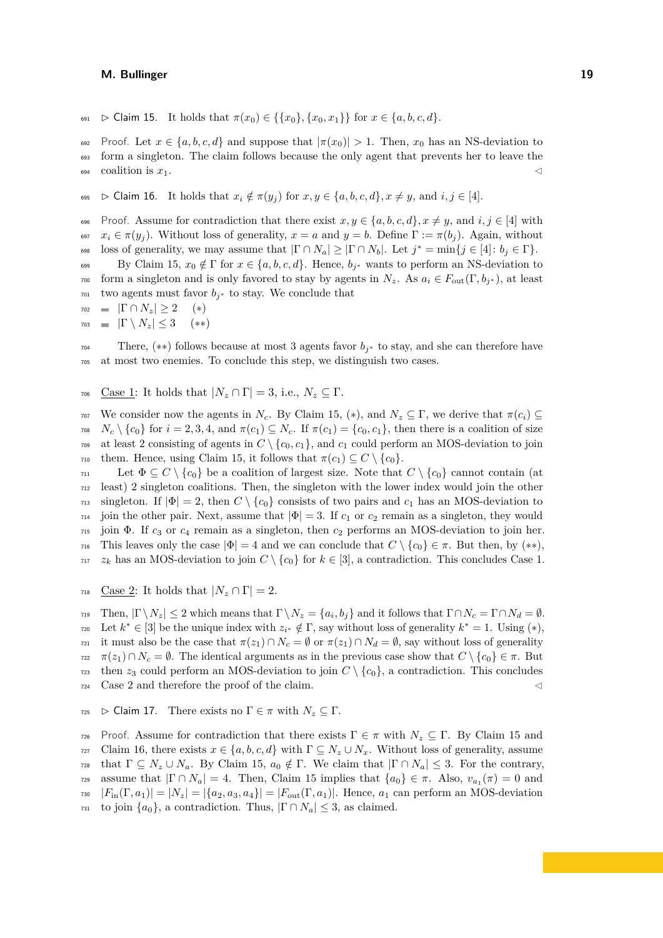691  $\triangleright$  Claim 15. It holds that  $\pi(x_0) \in \{ \{x_0\}, \{x_0, x_1\} \}$  for  $x \in \{a, b, c, d\}.$ 

692 Proof. Let  $x \in \{a, b, c, d\}$  and suppose that  $|\pi(x_0)| > 1$ . Then,  $x_0$  has an NS-deviation to <sup>693</sup> form a singleton. The claim follows because the only agent that prevents her to leave the  $\log_4$  coalition is  $x_1$ .

<span id="page-18-0"></span>695  $\triangleright$  Claim 16. It holds that  $x_i \notin \pi(y_j)$  for  $x, y \in \{a, b, c, d\}, x \neq y$ , and  $i, j \in [4]$ .

696 Proof. Assume for contradiction that there exist  $x, y \in \{a, b, c, d\}, x \neq y$ , and  $i, j \in [4]$  with <sup>697</sup> *x<sup>i</sup>* ∈ *π*(*y<sup>j</sup>* ). Without loss of generality, *x* = *a* and *y* = *b*. Define Γ := *π*(*b<sup>j</sup>* ). Again, without loss of generality, we may assume that  $|\Gamma \cap N_a| \geq |\Gamma \cap N_b|$ . Let  $j^* = \min\{j \in [4] : b_j \in \Gamma\}$ . By Claim [15,](#page-17-1)  $x_0 \notin \Gamma$  for  $x \in \{a, b, c, d\}$ . Hence,  $b_{i^*}$  wants to perform an NS-deviation to

form a singleton and is only favored to stay by agents in  $N_z$ . As  $a_i \in F_{out}(\Gamma, b_{i^*})$ , at least <sup>701</sup> two agents must favor  $b_{i^*}$  to stay. We conclude that

 $702 \quad \blacksquare \quad |\Gamma \cap N_z| \geq 2 \quad (*)$ 

 $703 \quad \blacksquare \quad |\Gamma \setminus N_z| \leq 3 \quad (*)$ 

There,  $(**)$  follows because at most 3 agents favor  $b_{i^*}$  to stay, and she can therefore have <sup>705</sup> at most two enemies. To conclude this step, we distinguish two cases.

706 Case 1: It holds that  $|N_z \cap \Gamma| = 3$ , i.e.,  $N_z \subseteq \Gamma$ .

707 We consider now the agents in  $N_c$ . By Claim [15,](#page-17-1) (\*), and  $N_z \subseteq \Gamma$ , we derive that  $\pi(c_i) \subseteq$  $N_c \setminus \{c_0\}$  for  $i = 2, 3, 4$ , and  $\pi(c_1) \subseteq N_c$ . If  $\pi(c_1) = \{c_0, c_1\}$ , then there is a coalition of size  $709$  at least 2 consisting of agents in  $C \setminus \{c_0, c_1\}$ , and  $c_1$  could perform an MOS-deviation to join  $\tau$ <sup>10</sup> them. Hence, using Claim [15,](#page-17-1) it follows that  $\pi(c_1) \subseteq C \setminus \{c_0\}.$ 

 $711$  Let  $Φ ⊆ C \ \{c_0\}$  be a coalition of largest size. Note that  $C \setminus \{c_0\}$  cannot contain (at <sup>712</sup> least) 2 singleton coalitions. Then, the singleton with the lower index would join the other  $_{713}$  singleton. If  $|\Phi| = 2$ , then  $C \setminus \{c_0\}$  consists of two pairs and  $c_1$  has an MOS-deviation to  $714$  join the other pair. Next, assume that  $|\Phi|=3$ . If  $c_1$  or  $c_2$  remain as a singleton, they would <sup>715</sup> join Φ. If *c*<sup>3</sup> or *c*<sup>4</sup> remain as a singleton, then *c*<sup>2</sup> performs an MOS-deviation to join her. This leaves only the case  $|\Phi| = 4$  and we can conclude that  $C \setminus \{c_0\} \in \pi$ . But then, by (\*\*),  $717 \quad z_k$  has an MOS-deviation to join  $C \setminus \{c_0\}$  for  $k \in [3]$ , a contradiction. This concludes Case 1.

718 Case 2: It holds that  $|N_z \cap \Gamma| = 2$ .

Then,  $|\Gamma \setminus N_z| \leq 2$  which means that  $\Gamma \setminus N_z = \{a_i, b_j\}$  and it follows that  $\Gamma \cap N_c = \Gamma \cap N_d = \emptyset$ .  $\mathbb{Z}_{20}$  Let  $k^* \in [3]$  be the unique index with  $z_{i^*} \notin \Gamma$ , say without loss of generality  $k^* = 1$ . Using  $(*)$ ,  $\pi$ <sup>21</sup> it must also be the case that  $\pi(z_1) \cap N_c = \emptyset$  or  $\pi(z_1) \cap N_d = \emptyset$ , say without loss of generality  $π(z_1) ∩ N_c = ∅$ . The identical arguments as in the previous case show that  $C \setminus \{c_0\} \in π$ . But  $\tau$ <sup>23</sup> then  $z_3$  could perform an MOS-deviation to join  $C \setminus \{c_0\}$ , a contradiction. This concludes  $724$  Case 2 and therefore the proof of the claim.

<span id="page-18-1"></span> $725 \quad \triangleright$  Claim 17. There exists no  $\Gamma \in \pi$  with  $N_z \subseteq \Gamma$ .

*τ*<sub>26</sub> Proof. Assume for contradiction that there exists  $\Gamma \in \pi$  with  $N_z \subseteq \Gamma$ . By Claim [15](#page-17-1) and 727 Claim [16,](#page-18-0) there exists  $x \in \{a, b, c, d\}$  with  $\Gamma \subseteq N_z \cup N_x$ . Without loss of generality, assume  $T_{728}$  that  $\Gamma \subseteq N_z \cup N_a$ . By Claim [15,](#page-17-1)  $a_0 \notin \Gamma$ . We claim that  $|\Gamma \cap N_a| \leq 3$ . For the contrary, assume that  $|\Gamma \cap N_a| = 4$ . Then, Claim [15](#page-17-1) implies that  $\{a_0\} \in \pi$ . Also,  $v_{a_1}(\pi) = 0$  and  $F_{730}$   $|F_{1n}(\Gamma, a_1)| = |N_z| = |\{a_2, a_3, a_4\}| = |F_{\text{out}}(\Gamma, a_1)|$ . Hence,  $a_1$  can perform an MOS-deviation <sup>731</sup> to join  $\{a_0\}$ , a contradiction. Thus,  $|\Gamma \cap N_a| \leq 3$ , as claimed.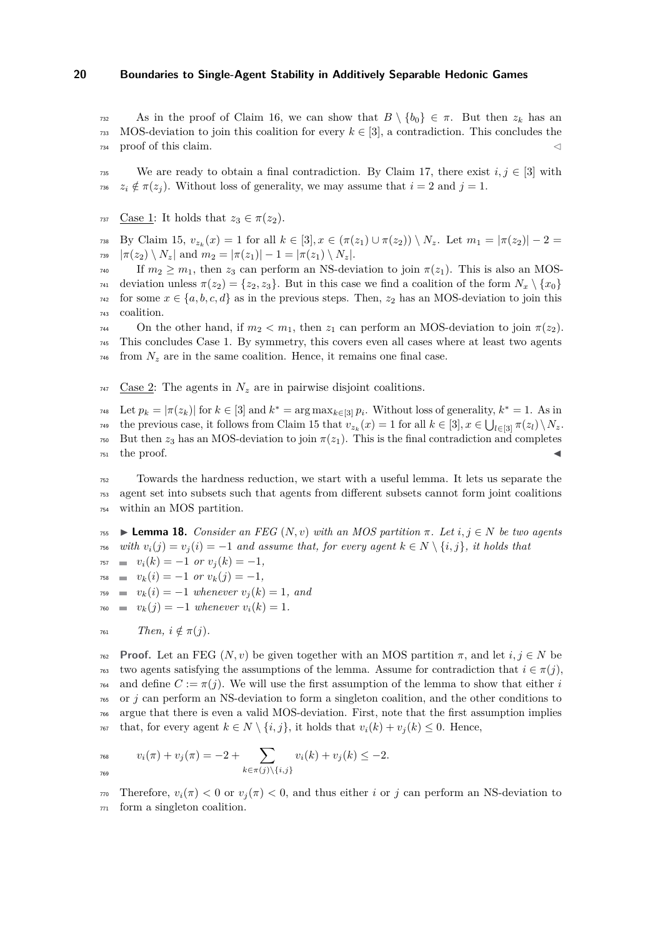As in the proof of Claim [16,](#page-18-0) we can show that  $B \setminus \{b_0\} \in \pi$ . But then  $z_k$  has an 733 MOS-deviation to join this coalition for every  $k \in [3]$ , a contradiction. This concludes the  $734$  proof of this claim.

735 We are ready to obtain a final contradiction. By Claim [17,](#page-18-1) there exist  $i, j \in [3]$  with 736  $z_i \notin \pi(z_j)$ . Without loss of generality, we may assume that  $i = 2$  and  $j = 1$ .

737 Case 1: It holds that  $z_3 \in \pi(z_2)$ .

 $\mathbb{F}_3$ <sup>8</sup> By Claim [15,](#page-17-1)  $v_{z_k}(x) = 1$  for all  $k \in [3], x \in (\pi(z_1) \cup \pi(z_2)) \setminus N_z$ . Let  $m_1 = |\pi(z_2)| - 2 = 1$  $\pi$ <sub>739</sub>  $|\pi(z_2) \setminus N_z|$  and  $m_2 = |\pi(z_1)| - 1 = |\pi(z_1) \setminus N_z|.$ 

 $T_{740}$  If  $m_2 \geq m_1$ , then  $z_3$  can perform an NS-deviation to join  $\pi(z_1)$ . This is also an MOS $τ_{41}$  deviation unless  $π(z_2) = \{z_2, z_3\}$ . But in this case we find a coalition of the form  $N_x \setminus \{x_0\}$  $742$  for some  $x \in \{a, b, c, d\}$  as in the previous steps. Then,  $z_2$  has an MOS-deviation to join this <sup>743</sup> coalition.

<sup>744</sup> On the other hand, if *m*<sup>2</sup> *< m*1, then *z*<sup>1</sup> can perform an MOS-deviation to join *π*(*z*2). <sup>745</sup> This concludes Case 1. By symmetry, this covers even all cases where at least two agents  $\tau$ <sup>46</sup> from  $N_z$  are in the same coalition. Hence, it remains one final case.

 $747$  Case 2: The agents in  $N_z$  are in pairwise disjoint coalitions.

<sup>748</sup> Let  $p_k = |\pi(z_k)|$  for  $k \in [3]$  and  $k^* = \arg \max_{k \in [3]} p_i$ . Without loss of generality,  $k^* = 1$ . As in the previous case, it follows from Claim [15](#page-17-1) that  $v_{z_k}(x) = 1$  for all  $k \in [3], x \in \bigcup_{l \in [3]} \pi(z_l) \setminus N_z$ . <sup>750</sup> But then *z*<sup>3</sup> has an MOS-deviation to join *π*(*z*1). This is the final contradiction and completes  $751$  the proof.

<sup>752</sup> Towards the hardness reduction, we start with a useful lemma. It lets us separate the <sup>753</sup> agent set into subsets such that agents from different subsets cannot form joint coalitions <sup>754</sup> within an MOS partition.

<span id="page-19-0"></span>755 **Example 18.** *Consider an FEG*  $(N, v)$  *with an MOS partition*  $\pi$ *. Let*  $i, j \in N$  *be two agents* 756 *with*  $v_i(j) = v_j(i) = -1$  *and assume that, for every agent*  $k \in N \setminus \{i, j\}$ , *it holds that*  $v_i(k) = -1$  *or*  $v_j(k) = -1$ ,

$$
r_{58} = v_k(i) = -1 \text{ or } v_k(j) = -1
$$

 $v_k(i) = -1$  *whenever*  $v_i(k) = 1$ *, and* 

$$
v_{k}(j) = -1 \text{ whenever } v_{i}(k) = 1.
$$

$$
761 \qquad \qquad Then, \ i \notin \pi(j).
$$

<sup>762</sup> **Proof.** Let an FEG (*N, v*) be given together with an MOS partition *π*, and let *i, j* ∈ *N* be <sup>763</sup> two agents satisfying the assumptions of the lemma. Assume for contradiction that  $i \in \pi(j)$ ,  $\tau_{64}$  and define  $C := \pi(i)$ . We will use the first assumption of the lemma to show that either *i* <sup>765</sup> or *j* can perform an NS-deviation to form a singleton coalition, and the other conditions to <sup>766</sup> argue that there is even a valid MOS-deviation. First, note that the first assumption implies  $\tau_{67}$  that, for every agent  $k \in N \setminus \{i, j\}$ , it holds that  $v_i(k) + v_j(k) \leq 0$ . Hence,

$$
v_i(\pi) + v_j(\pi) = -2 + \sum_{k \in \pi(j) \setminus \{i,j\}} v_i(k) + v_j(k) \le -2.
$$

Therefore,  $v_i(\pi) < 0$  or  $v_i(\pi) < 0$ , and thus either *i* or *j* can perform an NS-deviation to <sup>771</sup> form a singleton coalition.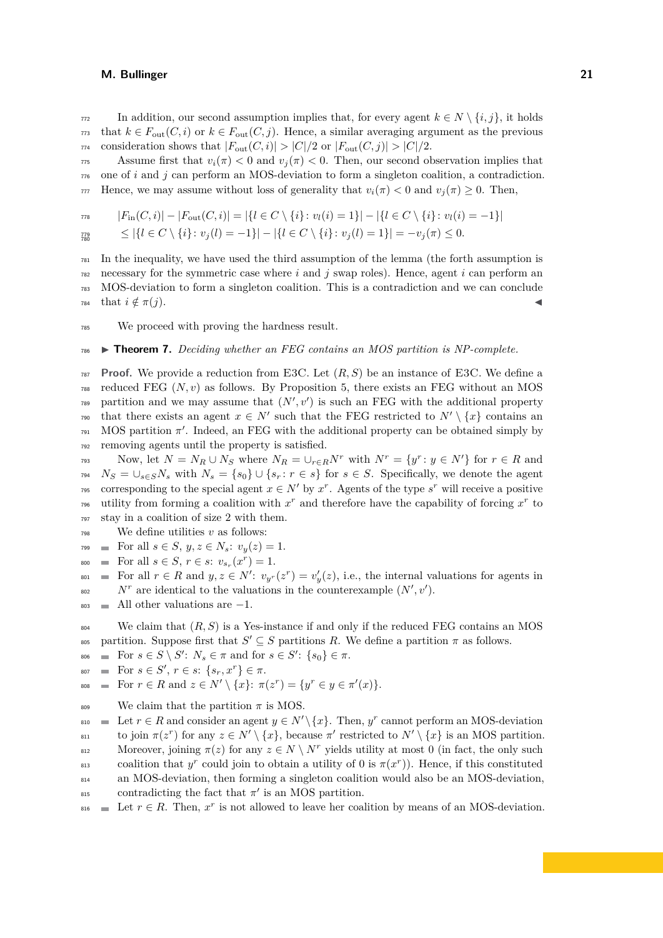$772$  In addition, our second assumption implies that, for every agent *k* ∈ *N* \ {*i, j*}, it holds  $\tau$ <sup>73</sup> that  $k \in F_{\text{out}}(C, i)$  or  $k \in F_{\text{out}}(C, j)$ . Hence, a similar averaging argument as the previous  $774$  consideration shows that  $|F_{\text{out}}(C, i)| > |C|/2$  or  $|F_{\text{out}}(C, j)| > |C|/2$ .

Assume first that  $v_i(\pi) < 0$  and  $v_i(\pi) < 0$ . Then, our second observation implies that <sup>776</sup> one of *i* and *j* can perform an MOS-deviation to form a singleton coalition, a contradiction.  $777$  Hence, we may assume without loss of generality that  $v_i(\pi) < 0$  and  $v_i(\pi) > 0$ . Then,

$$
F_{\text{in}}(C,i) - |F_{\text{out}}(C,i)| = |\{l \in C \setminus \{i\} : v_l(i) = 1\}| - |\{l \in C \setminus \{i\} : v_l(i) = -1\}|
$$
  
\n
$$
\leq |\{l \in C \setminus \{i\} : v_i(l) = -1\}| - |\{l \in C \setminus \{i\} : v_i(l) = 1\}| = -v_i(\pi) \leq 0.
$$

$$
\begin{array}{c} 779 \\ 780 \end{array}
$$

 In the inequality, we have used the third assumption of the lemma (the forth assumption is necessary for the symmetric case where *i* and *j* swap roles). Hence, agent *i* can perform an MOS-deviation to form a singleton coalition. This is a contradiction and we can conclude that  $i \notin \pi(j)$ .

<sup>785</sup> We proceed with proving the hardness result.

#### <sup>786</sup> ▶ **Theorem 7.** *Deciding whether an FEG contains an MOS partition is NP-complete.*

<sup>787</sup> **Proof.** We provide a reduction from E3C. Let (*R, S*) be an instance of E3C. We define a  $_{788}$  reduced FEG  $(N, v)$  as follows. By Proposition [5,](#page-10-2) there exists an FEG without an MOS  $\mathbb{R}^3$  partition and we may assume that  $(N', v')$  is such an FEG with the additional property that there exists an agent  $x \in N'$  such that the FEG restricted to  $N' \setminus \{x\}$  contains an  $_{791}$  MOS partition  $\pi'$ . Indeed, an FEG with the additional property can be obtained simply by <sup>792</sup> removing agents until the property is satisfied.

Now, let  $N = N_R \cup N_S$  where  $N_R = \cup_{r \in R} N^r$  with  $N^r = \{y^r : y \in N'\}$  for  $r \in R$  and  $N_S = \bigcup_{s \in S} N_s$  with  $N_s = \{s_0\} \cup \{s_r : r \in s\}$  for  $s \in S$ . Specifically, we denote the agent corresponding to the special agent  $x \in N'$  by  $x^r$ . Agents of the type  $s^r$  will receive a positive <sup>796</sup> utility from forming a coalition with  $x^r$  and therefore have the capability of forcing  $x^r$  to <sup>797</sup> stay in a coalition of size 2 with them.

- <sup>798</sup> We define utilities *v* as follows:
- $\text{For all } s \in S, y, z \in N_s: v_y(z) = 1.$
- $\text{For all } s \in S, r \in s: v_{s_r}(x^r) = 1.$
- $\mathbb{F}_{201}$  = For all  $r \in R$  and  $y, z \in N'$ :  $v_{y}r(z^r) = v'_y(z)$ , i.e., the internal valuations for agents in  $N^r$  are identical to the valuations in the counterexample  $(N', v')$ .
- $\mathbf{B}_{803}$  All other valuations are  $-1$ .
- <sup>804</sup> We claim that  $(R, S)$  is a Yes-instance if and only if the reduced FEG contains an MOS <sup>805</sup> partition. Suppose first that  $S' \subseteq S$  partitions *R*. We define a partition  $\pi$  as follows.
- $S_{806}$  = For  $s \in S \setminus S'$ :  $N_s \in \pi$  and for  $s \in S'$ :  $\{s_0\} \in \pi$ .
- $\text{For } s \in S', r \in s: \{s_r, x^r\} \in \pi.$
- $F_{\text{F}}$  =  $\text{For } r \in R \text{ and } z \in N' \setminus \{x\}$ :  $\pi(z^r) = \{y^r \in y \in \pi'(x)\}.$
- 809 We claim that the partition  $\pi$  is MOS.

 $B_{810}$  **⊏** Let  $r \in R$  and consider an agent  $y \in N' \setminus \{x\}$ . Then,  $y^r$  cannot perform an MOS-deviation to join  $π(z<sup>r</sup>)$  for any  $z ∈ N' \setminus \{x\}$ , because  $π'$  restricted to  $N' \setminus \{x\}$  is an MOS partition. Moreover, joining  $\pi(z)$  for any  $z \in N \setminus N^r$  yields utility at most 0 (in fact, the only such  $\alpha_{\text{B13}}$  coalition that *y*<sup>r</sup> could join to obtain a utility of 0 is  $\pi(x^r)$ ). Hence, if this constituted <sup>814</sup> an MOS-deviation, then forming a singleton coalition would also be an MOS-deviation,  $\sum_{815}$  contradicting the fact that  $\pi'$  is an MOS partition.

 $\mathbb{R}^{316}$  = Let  $r \in R$ . Then,  $x^r$  is not allowed to leave her coalition by means of an MOS-deviation.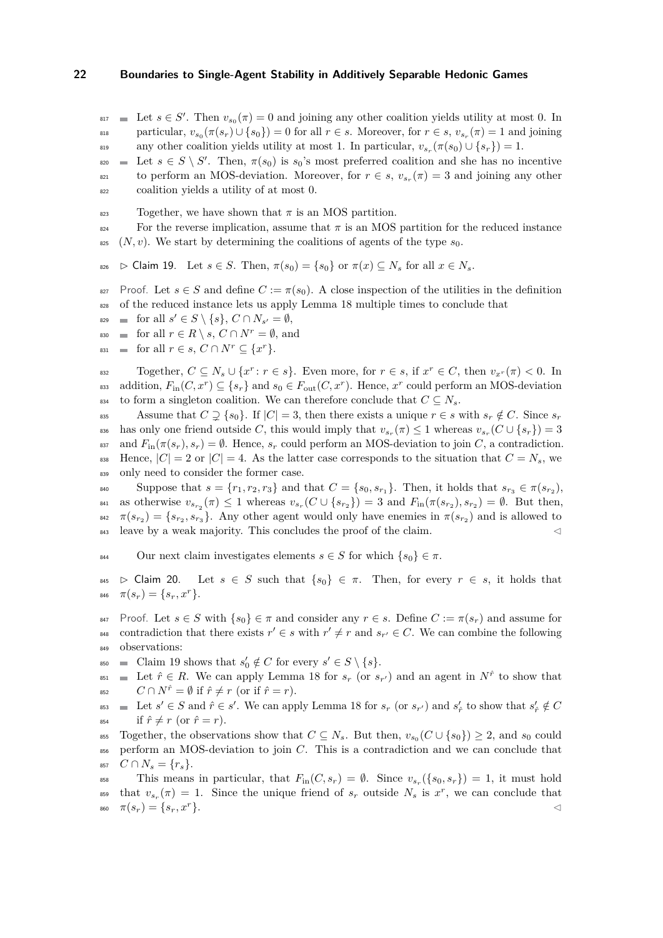$\mathbf{z}_{17} = \text{Let } s \in S'.$  Then  $v_{s_0}(\pi) = 0$  and joining any other coalition yields utility at most 0. In  $v_{\text{max}}$  particular,  $v_{s_0}(\pi(s_r) \cup \{s_0\}) = 0$  for all  $r \in s$ . Moreover, for  $r \in s$ ,  $v_{s_r}(\pi) = 1$  and joining any other coalition yields utility at most 1. In particular,  $v_{s_r}(\pi(s_0) \cup \{s_r\}) = 1$ .

 $\mathcal{L}_{\text{200}}$  Let  $s \in S \setminus S'$ . Then,  $\pi(s_0)$  is  $s_0$ 's most preferred coalition and she has no incentive to perform an MOS-deviation. Moreover, for  $r \in s$ ,  $v_{s_r}(\pi) = 3$  and joining any other <sup>822</sup> coalition yields a utility of at most 0.

 $\frac{823}{282}$  Together, we have shown that  $\pi$  is an MOS partition.

- $\frac{824}{100}$  For the reverse implication, assume that  $\pi$  is an MOS partition for the reduced instance
- <span id="page-21-0"></span>825 (*N, v*). We start by determining the coalitions of agents of the type  $s_0$ .

826  $\triangleright$  Claim 19. Let  $s \in S$ . Then,  $\pi(s_0) = \{s_0\}$  or  $\pi(x) \subseteq N_s$  for all  $x \in N_s$ .

- 827 Proof. Let  $s \in S$  and define  $C := \pi(s_0)$ . A close inspection of the utilities in the definition <sup>828</sup> of the reduced instance lets us apply Lemma [18](#page-19-0) multiple times to conclude that
- $\text{for all } s' \in S \setminus \{s\}, C \cap N_{s'} = \emptyset,$
- 830 for all  $r \in R \setminus s$ ,  $C \cap N^r = \emptyset$ , and
- $f_{\text{831}}$   $\blacksquare$  for all  $r \in s$ ,  $C \cap N^r \subseteq \{x^r\}.$

 $\text{c}$   $\text{c}$   $\text{c}$   $\text{c}$   $\text{c}$   $\text{c}$   $\text{c}$   $\text{c}$   $\text{c}$   $\text{c}$   $\text{c}$   $\text{c}$   $\text{c}$   $\text{c}$   $\text{c}$   $\text{c}$   $\text{c}$   $\text{c}$   $\text{c}$   $\text{c}$   $\text{c}$   $\text{c}$   $\text{c}$   $\text{c}$   $\text{c}$   $\text{c}$   $\text{c}$   $\text{c$ ass addition,  $F_{\text{in}}(C, x^r) \subseteq \{s_r\}$  and  $s_0 \in F_{\text{out}}(C, x^r)$ . Hence,  $x^r$  could perform an MOS-deviation 834 to form a singleton coalition. We can therefore conclude that  $C \subseteq N_s$ .

835 Assume that  $C \supseteq \{s_0\}$ . If  $|C| = 3$ , then there exists a unique  $r \in s$  with  $s_r \notin C$ . Since  $s_r$  $\alpha$  has only one friend outside *C*, this would imply that  $v_{s_r}(\pi) \leq 1$  whereas  $v_{s_r}(C \cup \{s_r\}) = 3$ 837 and  $F_{\text{in}}(\pi(s_r), s_r) = \emptyset$ . Hence,  $s_r$  could perform an MOS-deviation to join *C*, a contradiction. 838 Hence,  $|C| = 2$  or  $|C| = 4$ . As the latter case corresponds to the situation that  $C = N_s$ , we 839 only need to consider the former case.

Suppose that  $s = \{r_1, r_2, r_3\}$  and that  $C = \{s_0, s_{r_1}\}.$  Then, it holds that  $s_{r_3} \in \pi(s_{r_2}),$  $v_{s_{r_2}}(\pi) \leq 1$  whereas  $v_{s_r}(C \cup \{s_{r_2}\}) = 3$  and  $F_{\text{in}}(\pi(s_{r_2}), s_{r_2}) = \emptyset$ . But then, <sup>842</sup>  $\pi(s_{r_2}) = \{s_{r_2}, s_{r_3}\}.$  Any other agent would only have enemies in  $\pi(s_{r_2})$  and is allowed to 843 leave by a weak majority. This concludes the proof of the claim.

844 Our next claim investigates elements  $s \in S$  for which  $\{s_0\} \in \pi$ .

- <span id="page-21-1"></span>845  $\triangleright$  Claim 20. Let  $s \in S$  such that  $\{s_0\} \in \pi$ . Then, for every  $r \in s$ , it holds that  $\pi(s_r) = \{s_r, x^r\}.$
- 847 Proof. Let  $s \in S$  with  $\{s_0\} \in \pi$  and consider any  $r \in s$ . Define  $C := \pi(s_r)$  and assume for contradiction that there exists  $r' \in s$  with  $r' \neq r$  and  $s_{r'} \in C$ . We can combine the following <sup>849</sup> observations:
- $\begin{array}{ll}\n\text{350} & \text{or} \\
\text{361m} & 19 \text{ shows that } s'_0 \notin C \text{ for every } s' \in S \setminus \{s\}. \n\end{array}$  $\begin{array}{ll}\n\text{350} & \text{or} \\
\text{361m} & 19 \text{ shows that } s'_0 \notin C \text{ for every } s' \in S \setminus \{s\}. \n\end{array}$  $\begin{array}{ll}\n\text{350} & \text{or} \\
\text{361m} & 19 \text{ shows that } s'_0 \notin C \text{ for every } s' \in S \setminus \{s\}. \n\end{array}$
- $\mathbb{E}_{\text{S11}}$  = Let  $\hat{r} \in R$ . We can apply Lemma [18](#page-19-0) for  $s_r$  (or  $s_{r'}$ ) and an agent in  $N^{\hat{r}}$  to show that 852  $C \cap N^{\hat{r}} = \emptyset$  if  $\hat{r} \neq r$  (or if  $\hat{r} = r$ ).
- $s_{53} \equiv$  Let  $s' \in S$  and  $\hat{r} \in s'$ . We can apply Lemma [18](#page-19-0) for  $s_r$  (or  $s_{r'}$ ) and  $s'_{\hat{r}}$  to show that  $s'_{\hat{r}} \notin C$ 854 if  $\hat{r} \neq r$  (or  $\hat{r} = r$ ).
- $T_{\text{SUS}}$  Together, the observations show that  $C \subseteq N_s$ . But then,  $v_{s_0}(C \cup \{s_0\}) \geq 2$ , and  $s_0$  could <sup>856</sup> perform an MOS-deviation to join *C*. This is a contradiction and we can conclude that 857  $C \cap N_s = \{r_s\}.$

This means in particular, that  $F_{\text{in}}(C, s_r) = \emptyset$ . Since  $v_{s_r}(\{s_0, s_r\}) = 1$ , it must hold that  $v_{s_r}(\pi) = 1$ . Since the unique friend of  $s_r$  outside  $N_s$  is  $x^r$ , we can conclude that *π*  $(s_r) = \{s_r, x^r\}.$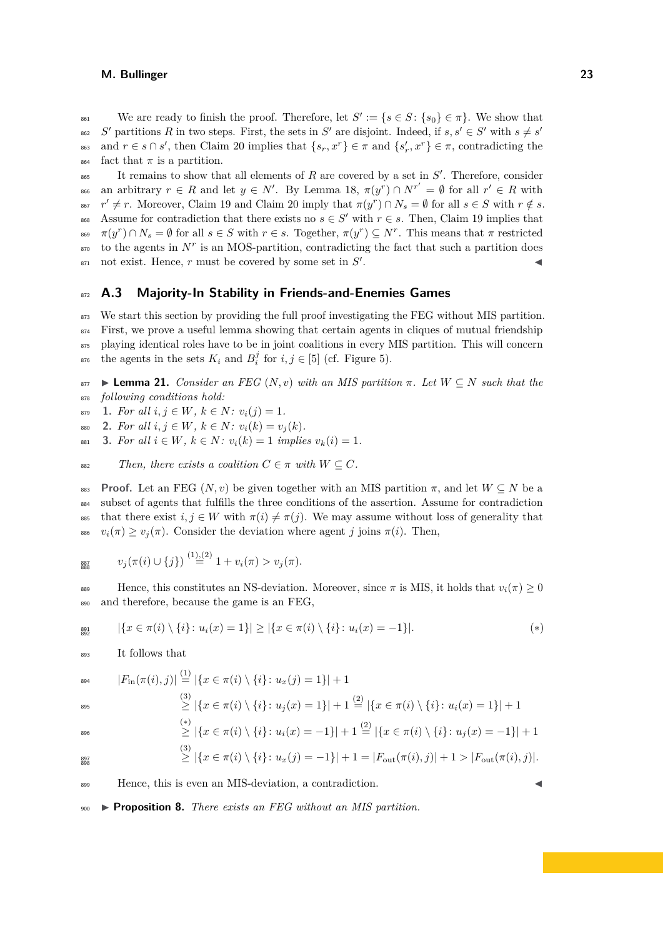We are ready to finish the proof. Therefore, let  $S' := \{s \in S : \{s_0\} \in \pi\}$ . We show that  $S'$  partitions *R* in two steps. First, the sets in  $S'$  are disjoint. Indeed, if  $s, s' \in S'$  with  $s \neq s'$ 862 <sup>863</sup> and  $r \in s \cap s'$ , then Claim [20](#page-21-1) implies that  $\{s_r, x^r\} \in \pi$  and  $\{s'_r, x^r\} \in \pi$ , contradicting the  $\frac{1}{864}$  fact that  $\pi$  is a partition.

<sup>865</sup> It remains to show that all elements of *R* are covered by a set in *S'*. Therefore, consider s66 an arbitrary *r* ∈ *R* and let *y* ∈ *N'*. By Lemma [18,](#page-19-0)  $\pi(y^r) ∩ N^{r'} = ∅$  for all  $r' ∈ R$  with  $r' \neq r$ . Moreover, Claim [19](#page-21-0) and Claim [20](#page-21-1) imply that  $\pi(y^r) \cap N_s = \emptyset$  for all  $s \in S$  with  $r \notin s$ . 868 Assume for contradiction that there exists no  $s \in S'$  with  $r \in s$ . Then, Claim [19](#page-21-0) implies that  $\pi(y^r) \cap N_s = \emptyset$  for all  $s \in S$  with  $r \in s$ . Together,  $\pi(y^r) \subseteq N^r$ . This means that  $\pi$  restricted  $\sigma$  to the agents in  $N^r$  is an MOS-partition, contradicting the fact that such a partition does  $\mathcal{S}'$  and exist. Hence, *r* must be covered by some set in  $S'$ .

# <sup>872</sup> **A.3 Majority-In Stability in Friends-and-Enemies Games**

<sup>873</sup> We start this section by providing the full proof investigating the FEG without MIS partition.  $874$  First, we prove a useful lemma showing that certain agents in cliques of mutual friendship 875 playing identical roles have to be in joint coalitions in every MIS partition. This will concern  $\text{Area}$  the agents in the sets  $K_i$  and  $B_i^j$  for  $i, j \in [5]$  (cf. Figure [5\)](#page-12-0).

<span id="page-22-3"></span>877 **Example 21.** *Consider an FEG*  $(N, v)$  *with an MIS partition*  $\pi$ *. Let*  $W \subseteq N$  *such that the* <sup>878</sup> *following conditions hold:*

<span id="page-22-0"></span>879 **1.** For all  $i, j \in W$ ,  $k \in N$ :  $v_i(j) = 1$ .

<span id="page-22-1"></span>880 **2.** For all  $i, j \in W$ ,  $k \in N$ :  $v_i(k) = v_j(k)$ .

<span id="page-22-2"></span>881 **3.** For all  $i \in W$ ,  $k \in N$ :  $v_i(k) = 1$  *implies*  $v_k(i) = 1$ .

882 *Then, there exists a coalition*  $C \in \pi$  *with*  $W \subseteq C$ *.* 

**Proof.** Let an FEG  $(N, v)$  be given together with an MIS partition  $\pi$ , and let  $W \subseteq N$  be a subset of agents that fulfills the three conditions of the assertion. Assume for contradiction 885 that there exist  $i, j \in W$  with  $\pi(i) \neq \pi(j)$ . We may assume without loss of generality that  $v_i(\pi) > v_i(\pi)$ . Consider the deviation where agent *j* joins  $\pi(i)$ . Then,

$$
\lim_{\text{RHS}} \qquad v_j(\pi(i) \cup \{j\}) \stackrel{(1),(2)}{=} 1 + v_i(\pi) > v_j(\pi).
$$

889 Hence, this constitutes an NS-deviation. Moreover, since *π* is MIS, it holds that  $v_i(\pi) \geq 0$ <sup>890</sup> and therefore, because the game is an FEG,

$$
\lim_{892} | \{ x \in \pi(i) \setminus \{i\} \colon u_i(x) = 1 \} | \geq | \{ x \in \pi(i) \setminus \{i\} \colon u_i(x) = -1 \} |.
$$
 (\*)

<sup>893</sup> It follows that

$$
|F_{\text{in}}(\pi(i),j)| \stackrel{(1)}{=} |\{x \in \pi(i) \setminus \{i\} \colon u_x(j) = 1\}| + 1
$$
  
\n
$$
\stackrel{(3)}{\geq} |\{x \in \pi(i) \setminus \{i\} \colon u_j(x) = 1\}| + 1 \stackrel{(2)}{=} |\{x \in \pi(i) \setminus \{i\} \colon u_i(x) = 1\}| + 1
$$
  
\n
$$
\stackrel{(*)}{=} |\{x \in \pi(i) \setminus \{i\} \colon u_j(x) = 1\}| + 1
$$

$$
\geq |\{x \in \pi(i) \setminus \{i\} \colon u_i(x) = -1\}| + 1 \stackrel{(2)}{=} |\{x \in \pi(i) \setminus \{i\} \colon u_j(x) = -1\}| + 1
$$

$$
\begin{array}{c} 897 \\ 898 \end{array}
$$

$$
\stackrel{\text{\tiny{[3]}}}{\geq} |\{x \in \pi(i) \setminus \{i\} \colon u_x(j) = -1\}| + 1 = |F_{\text{out}}(\pi(i),j)| + 1 > |F_{\text{out}}(\pi(i),j)|.
$$

899 Hence, this is even an MIS-deviation, a contradiction.

<sup>900</sup> ▶ **Proposition 8.** *There exists an FEG without an MIS partition.*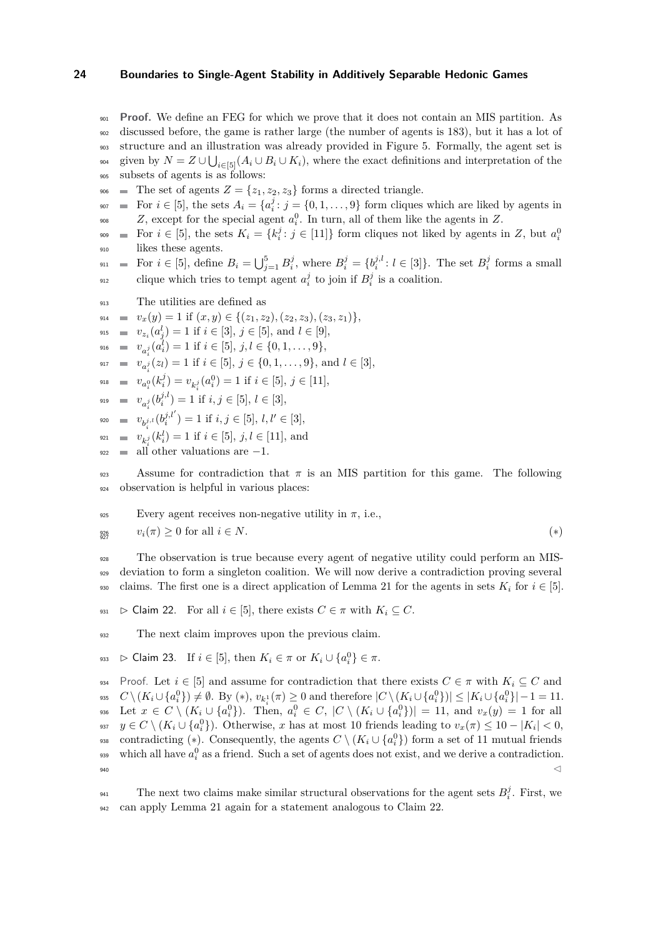<sup>901</sup> **Proof.** We define an FEG for which we prove that it does not contain an MIS partition. As <sup>902</sup> discussed before, the game is rather large (the number of agents is 183), but it has a lot of <sup>903</sup> structure and an illustration was already provided in Figure [5.](#page-12-0) Formally, the agent set is

<sup>904</sup> given by  $N = Z \cup \bigcup_{i \in [5]} (A_i \cup B_i \cup K_i)$ , where the exact definitions and interpretation of the <sup>905</sup> subsets of agents is as follows:

- 
- 906 The set of agents  $Z = \{z_1, z_2, z_3\}$  forms a directed triangle.
- $\mathbb{F}$  For  $i \in [5]$ , the sets  $A_i = \{a_i^j : j = \{0, 1, \ldots, 9\}$  form cliques which are liked by agents in <sup>908</sup> . Z, except for the special agent  $a_i^0$ . In turn, all of them like the agents in Z.
- For  $i \in [5]$ , the sets  $K_i = \{k_i^j : j \in [11]\}$  form cliques not liked by agents in *Z*, but  $a_i^0$ 909 <sup>910</sup> likes these agents.
- $S_{911}$  = For  $i \in [5]$ , define  $B_i = \bigcup_{j=1}^5 B_i^j$ , where  $B_i^j = \{b_i^{j,l}: l \in [3]\}$ . The set  $B_i^j$  forms a small e<sub>912</sub> clique which tries to tempt agent  $a_i^j$  to join if  $B_i^j$  is a coalition.
- <sup>913</sup> The utilities are defined as
- $v_x(y) = 1$  if  $(x, y) \in \{(z_1, z_2), (z_2, z_3), (z_3, z_1)\},$
- $v_{z_i}(a_j^l) = 1 \text{ if } i \in [3], j \in [5], \text{ and } l \in [9],$
- 916  $v_{a_i^j}(a_i^l) = 1$  if  $i \in [5], j, l \in \{0, 1, \ldots, 9\},$
- $\begin{aligned}\n\mathbf{v}_{i,j} &= \mathbf{v}_{a_i}^{(i)}(z_l) = 1 \text{ if } i \in [5], j \in \{0, 1, \ldots, 9\}, \text{ and } l \in [3],\n\end{aligned}$
- $v_{a_i^0}(k_i^j) = v_{k_i^j}(a_i^0) = 1$  if  $i \in [5], j \in [11],$

919 = 
$$
v_{a_i^j}(b_i^{j,l}) = 1
$$
 if  $i, j \in [5], l \in [3]$ ,

- $v_{b_i^{j,l}}(b_i^{j,l'}) = 1 \text{ if } i, j \in [5], l, l' \in [3],$
- $v_{k_i^j}(k_i^l) = 1$  if  $i \in [5]$ ,  $j, l \in [11]$ , and
- $\lim_{n \to \infty}$  all other valuations are  $-1$ .

Assume for contradiction that  $\pi$  is an MIS partition for this game. The following <sup>924</sup> observation is helpful in various places:

Every agent receives non-negative utility in 
$$
\pi
$$
, i.e.,  
\n $v_i(\pi) \ge 0$  for all  $i \in N$ .  
\n
$$
(*)
$$

<sup>928</sup> The observation is true because every agent of negative utility could perform an MIS-<sup>929</sup> deviation to form a singleton coalition. We will now derive a contradiction proving several 930 claims. The first one is a direct application of Lemma [21](#page-22-3) for the agents in sets  $K_i$  for  $i \in [5]$ .

<span id="page-23-0"></span>931  $\triangleright$  Claim 22. For all  $i \in [5]$ , there exists  $C \in \pi$  with  $K_i \subseteq C$ .

<span id="page-23-1"></span><sup>932</sup> The next claim improves upon the previous claim.

$$
\text{933 } \quad \triangleright \text{ Claim 23. If } i \in [5], \text{ then } K_i \in \pi \text{ or } K_i \cup \{a_i^0\} \in \pi.
$$

934 Proof. Let  $i \in [5]$  and assume for contradiction that there exists  $C \in \pi$  with  $K_i \subseteq C$  and <sup>935</sup>  $C \setminus (K_i \cup \{a_i^0\}) \neq \emptyset$ . By (\*),  $v_{k_i^1}(\pi) \geq 0$  and therefore  $|C \setminus (K_i \cup \{a_i^0\})| \leq |K_i \cup \{a_i^0\}| - 1 = 11$ .  $\mathbb{E}_{\mathcal{A}}\{x \in C \setminus (K_i \cup \{a_i^0\})$ . Then,  $a_i^0 \in C$ ,  $|C \setminus (K_i \cup \{a_i^0\})| = 11$ , and  $v_x(y) = 1$  for all  $y \in C \setminus (K_i \cup \{a_i^0\})$ . Otherwise, *x* has at most 10 friends leading to  $v_x(\pi) \leq 10 - |K_i| < 0$ , contradicting (\*). Consequently, the agents  $C \setminus (K_i \cup \{a_i^0\})$  form a set of 11 mutual friends  $\mu_{\text{max}}$  which all have  $a_i^0$  as a friend. Such a set of agents does not exist, and we derive a contradiction.  $\sim$   $\sim$ 

The next two claims make similar structural observations for the agent sets  $B_i^j$ . First, we <sup>942</sup> can apply Lemma [21](#page-22-3) again for a statement analogous to Claim [22.](#page-23-0)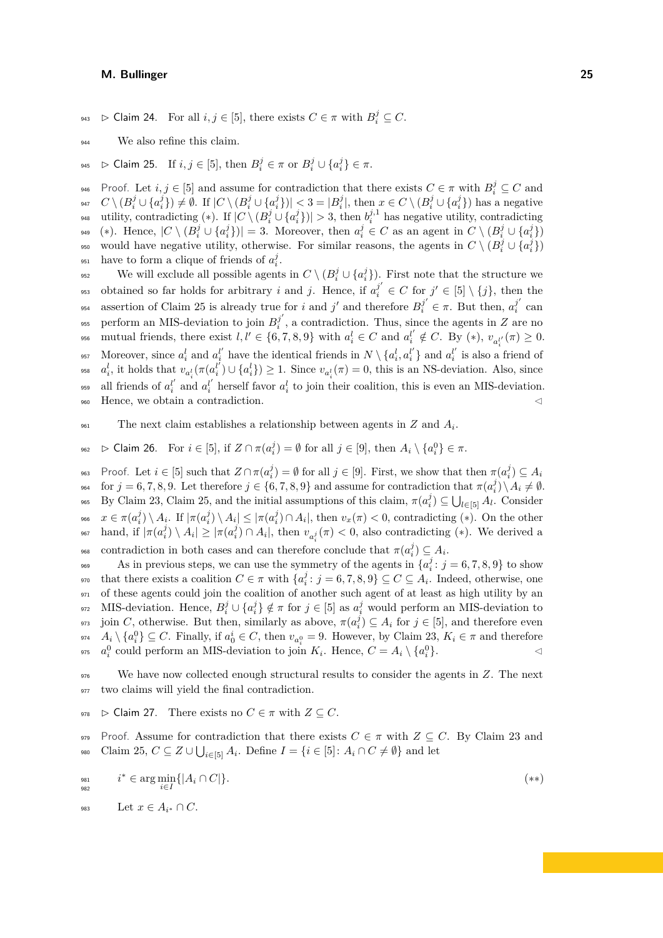- 943 *⊳* **Claim 24.** For all  $i, j \in [5]$ , there exists  $C \in \pi$  with  $B_i^j \subseteq C$ .
- <span id="page-24-0"></span><sup>944</sup> We also refine this claim.
- 945 **► Claim 25.** If  $i, j \in [5]$ , then  $B_i^j \in \pi$  or  $B_i^j \cup \{a_i^j\} \in \pi$ .

Proof. Let  $i, j \in [5]$  and assume for contradiction that there exists  $C \in \pi$  with  $B_i^j \subseteq C$  and <sup>947</sup>  $C \setminus (B_i^j \cup \{a_i^j\}) \neq \emptyset$ . If  $|C \setminus (B_i^j \cup \{a_i^j\})| < 3 = |B_i^j|$ , then  $x \in C \setminus (B_i^j \cup \{a_i^j\})$  has a negative 948 utility, contradicting (\*). If  $|C \setminus (B_i^j \cup \{a_i^j\})| > 3$ , then  $b_i^{j,1}$  has negative utility, contradicting <sup>949</sup> (\*). Hence,  $|C \setminus (B_i^j \cup \{a_i^j\})| = 3$ . Moreover, then  $a_i^j \in C$  as an agent in  $C \setminus (B_i^j \cup \{a_i^j\})$ would have negative utility, otherwise. For similar reasons, the agents in  $C \setminus (B_i^j \cup \{a_i^j\})$ <sup>951</sup> have to form a clique of friends of  $a_i^j$ .

We will exclude all possible agents in  $C \setminus (B_i^j \cup \{a_i^j\})$ . First note that the structure we obtained so far holds for arbitrary *i* and *j*. Hence, if  $a_i^{j'} \in C$  for  $j' \in [5] \setminus \{j\}$ , then the assertion of Claim [25](#page-24-0) is already true for *i* and *j'* and therefore  $B_i^{j'} \in \pi$ . But then,  $a_i^{j'}$ <sup>954</sup> assertion of Claim 25 is already true for i and j' and therefore  $B_i^j \in \pi$ . But then,  $a_i^j$  can perform an MIS-deviation to join  $B_i^{j'}$ <sup>955</sup> perform an MIS-deviation to join  $B_i^j$ , a contradiction. Thus, since the agents in *Z* are no <sup>956</sup> mutual friends, there exist  $l, l' \in \{6, 7, 8, 9\}$  with  $a_i^l \in C$  and  $a_i^{l'} \notin C$ . By  $(*)$ ,  $v_{a_i^{l'}}(\pi) \geq 0$ . 957 Moreover, since  $a_i^l$  and  $a_i^{l'}$  have the identical friends in  $N \setminus \{a_i^l, a_i^{l'}\}$  and  $a_i^{l'}$  is also a friend of <sup>958</sup>  $a_i^l$ , it holds that  $v_{a_i^l}(\pi(a_i^{l'}) \cup \{a_i^l\}) \geq 1$ . Since  $v_{a_i^l}(\pi) = 0$ , this is an NS-deviation. Also, since <sup>959</sup> all friends of  $a_i^{l'}$  and  $a_i^{l'}$  herself favor  $a_i^l$  to join their coalition, this is even an MIS-deviation. 960 Hence, we obtain a contradiction.  $\triangleleft$ 

<span id="page-24-1"></span>The next claim establishes a relationship between agents in  $Z$  and  $A_i$ .

 $\begin{array}{ll} \n\text{So} > \text{Claim 26.} \quad \text{For } i \in [5], \text{ if } Z \cap \pi(a_i^j) = ∅ \text{ for all } j \in [9], \text{ then } A_i \setminus \{a_i^0\} \in \pi. \n\end{array}$ 

Proof. Let  $i \in [5]$  such that  $Z \cap \pi(a_i^j) = \emptyset$  for all  $j \in [9]$ . First, we show that then  $\pi(a_i^j) \subseteq A_i$ 963 for  $j = 6, 7, 8, 9$ . Let therefore  $j \in \{6, 7, 8, 9\}$  and assume for contradiction that  $\pi(a_i^j) \setminus A_i \neq \emptyset$ . <sup>965</sup> By Claim [23,](#page-23-1) Claim [25,](#page-24-0) and the initial assumptions of this claim,  $\pi(a_i^j) \subseteq \bigcup_{l \in [5]} A_l$ . Consider <sup>966</sup>  $x \in \pi(a_i^j) \setminus A_i$ . If  $|\pi(a_i^j) \setminus A_i| \leq |\pi(a_i^j) \cap A_i|$ , then  $v_x(\pi) < 0$ , contradicting (\*). On the other <sup>967</sup> hand, if  $|\pi(a_i^j) \setminus A_i| \geq |\pi(a_i^j) \cap A_i|$ , then  $v_{a_i^j}(\pi) < 0$ , also contradicting (\*). We derived a so contradiction in both cases and can therefore conclude that  $\pi(a_i^j) \subseteq A_i$ .

As in previous steps, we can use the symmetry of the agents in  $\{a_i^j : j = 6, 7, 8, 9\}$  to show  $\mathbb{R}^{370}$  that there exists a coalition  $C \in \pi$  with  $\{a_i^j : j = 6, 7, 8, 9\} \subseteq C \subseteq A_i$ . Indeed, otherwise, one <sup>971</sup> of these agents could join the coalition of another such agent of at least as high utility by an <sup>972</sup> MIS-deviation. Hence,  $B_i^j \cup \{a_i^j\} \notin \pi$  for  $j \in [5]$  as  $a_i^j$  would perform an MIS-deviation to <sup>973</sup> join *C*, otherwise. But then, similarly as above,  $\pi(a_i^j) \subseteq A_i$  for  $j \in [5]$ , and therefore even <sup>974</sup>  $A_i \setminus \{a_i^0\} \subseteq C$ . Finally, if  $a_0^i \in C$ , then  $v_{a_i^0} = 9$ . However, by Claim [23,](#page-23-1)  $K_i \in \pi$  and therefore <sup>975</sup>  $a_i^0$  could perform an MIS-deviation to join  $K_i$ . Hence,  $C = A_i \setminus \{a_i^0\}$ .

<sup>976</sup> We have now collected enough structural results to consider the agents in *Z*. The next <sup>977</sup> two claims will yield the final contradiction.

<span id="page-24-2"></span>978  $\triangleright$  Claim 27. There exists no  $C \in \pi$  with  $Z \subseteq C$ .

979 Proof. Assume for contradiction that there exists  $C \in \pi$  with  $Z \subseteq C$ . By Claim [23](#page-23-1) and 980 Claim [25,](#page-24-0)  $C \subseteq Z \cup \bigcup_{i \in [5]} A_i$ . Define  $I = \{i \in [5] \colon A_i \cap C \neq \emptyset\}$  and let

$$
i^* \in \arg\min_{i \in I} \{|A_i \cap C|\}.\tag{**}
$$

983 Let  $x \in A_{i^*} \cap C$ .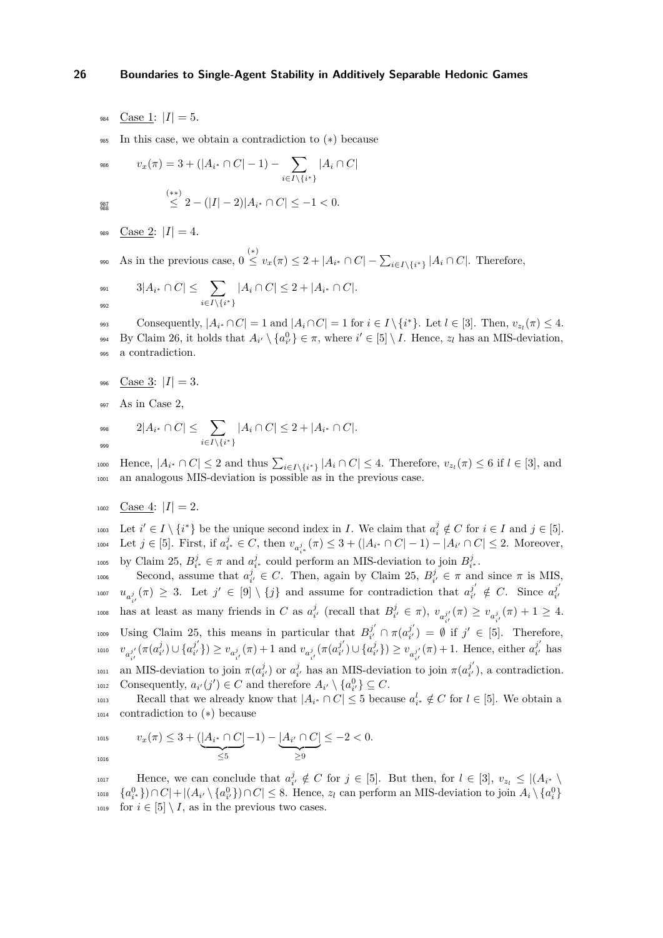- 984 Case 1:  $|I| = 5$ .
- In this case, we obtain a contradiction to  $(*)$  because

$$
v_x(\pi) = 3 + (|A_{i^*} \cap C| - 1) - \sum_{i \in I \setminus \{i^*\}} |A_i \cap C|
$$
  

$$
\stackrel{(**)}{\leq} 2 - (|I| - 2)|A_{i^*} \cap C| \leq -1 < 0.
$$

987<br>988

- 989 Case 2:  $|I| = 4$ .
- $\frac{1}{2}$  os  $\frac{1}{2}$  As in the previous case,  $0 \leq v_x(\pi) \leq 2 + |A_{i^*} \cap C| \sum_{i \in I \setminus \{i^*\}} |A_i \cap C|$ . Therefore,

$$
3|A_{i^*} \cap C| \leq \sum_{i \in I \setminus \{i^*\}} |A_i \cap C| \leq 2 + |A_{i^*} \cap C|.
$$

 $\text{Consequently, } |A_{i^*} \cap C| = 1 \text{ and } |A_i \cap C| = 1 \text{ for } i \in I \setminus \{i^*\}.$  Let  $l \in [3]$ . Then,  $v_{z_l}(\pi) \leq 4$ . <sup>994</sup> By Claim [26,](#page-24-1) it holds that  $A_{i'} \setminus \{a_{i'}^0\} \in \pi$ , where  $i' \in [5] \setminus I$ . Hence,  $z_l$  has an MIS-deviation, <sup>995</sup> a contradiction.

- 996 Case 3:  $|I| = 3$ .
- <sup>997</sup> As in Case 2,

$$
\sup_{999} \qquad \ \ 2|A_{i^*} \cap C| \leq \sum_{i \in I \setminus \{i^*\}} |A_i \cap C| \leq 2 + |A_{i^*} \cap C|.
$$

 $\mu_{\text{1000}}$  Hence,  $|A_{i^*} \cap C| \leq 2$  and thus  $\sum_{i \in I \setminus \{i^*\}} |A_i \cap C| \leq 4$ . Therefore,  $v_{z_i}(\pi) \leq 6$  if  $l \in [3]$ , and <sup>1001</sup> an analogous MIS-deviation is possible as in the previous case.

 $_{1002}$  Case 4:  $|I|=2$ .

1003 Let  $i' \in I \setminus \{i^*\}$  be the unique second index in *I*. We claim that  $a_i^j \notin C$  for  $i \in I$  and  $j \in [5]$ .  $i$ <sub>1004</sub> Let *j* ∈ [5]. First, if  $a_{i^*}^j$  ∈ *C*, then  $v_{a_{i^*}^j}$  ( $\pi$ ) ≤ 3 + (|*A*<sub>*i*</sub>∗ ∩ *C*| − 1) − |*A*<sub>*i*</sub>' ∩ *C*| ≤ 2. Moreover, <sup>1005</sup> by Claim [25,](#page-24-0)  $B_{i^*}^j \in \pi$  and  $a_{i^*}^j$  could perform an MIS-deviation to join  $B_{i^*}^j$ .

Second, assume that  $a_{i'}^j \in C$ . Then, again by Claim [25,](#page-24-0)  $B_{i'}^j \in \pi$  and since  $\pi$  is MIS,  $u_{a_{i'}^j}(\pi) \geq 3$ . Let  $j' \in [9] \setminus \{j\}$  and assume for contradiction that  $a_{i'}^{j'}$ has at least as many friends in *C* as  $a_{i'}^j$  (recall that  $B_{i'}^j \in \pi$ ),  $v_{a'_{i'}}$  $j'_{i'} \notin C$ . Since  $a_{i'}^{j'}$ 1007  $u_{a_{i}^{j}}(\pi) \geq 3$ . Let  $j \in [9] \setminus \{j\}$  and assume for contradiction that  $a_{i'}^{\circ} \notin C$ . Since  $a_{i'}^{\circ}$  $\mu$ <sup>1</sup>
<sup>1008</sup> has at least as many friends in *C* as  $a_{i'}^j$  (recall that  $B_{i'}^j \in \pi$ ),  $v_{a_{i'}^{j'}}(\pi) \ge v_{a_{i'}^j}(\pi) + 1 \ge 4$ . Using Claim [25,](#page-24-0) this means in particular that  $B_{i'}^{j'}$  $\pi_{i'}^{j'} \cap \pi(a_{i'}^{j'})$ <sup>1009</sup> Using Claim 25, this means in particular that  $B_{i'}^{j'} \cap \pi(a_{i'}^{j'}) = \emptyset$  if  $j' \in [5]$ . Therefore,  $v_{a}^{\phantom{a}j'}$  $\sum_{i'} (\pi(a_{i'}^j) \cup \{a_{i'}^{j'}\})$  $(v_i^j)$ )  $\ge v_{a_{i'}^j}(\pi) + 1$  and  $v_{a_{i'}^j}(\pi(a_{i'}^{j'})$  $(v_i^{j'}) \cup \{a_{i'}^j\}) \ge v_{a_{i'}^{j'}}$  $j'_{i'}(\pi) + 1$ . Hence, either  $a_{i'}^{j'}$ 1010  $v_{a^{j'}}(\pi(a_{i'}^j) \cup \{a_{i'}^j\}) \ge v_{a_{i'}^j}(\pi) + 1$  and  $v_{a_{i'}^j}(\pi(a_{i'}^j) \cup \{a_{i'}^j\}) \ge v_{a_{i'}^j}(\pi) + 1$ . Hence, either  $a_{i'}^j$  has an MIS-deviation to join  $\pi(a_i^j)$  or  $a_i^j$  has an MIS-deviation to join  $\pi(a_i^j)$ <sup>1011</sup> an MIS-deviation to join  $\pi(a_{i'}^j)$  or  $a_{i'}^j$  has an MIS-deviation to join  $\pi(a_{i'}^j)$ , a contradiction.  $\text{consequently, } a_{i'}(j') \in C \text{ and therefore } A_{i'} \setminus \{a_{i'}^0\} \subseteq C.$ 

Recall that we already know that  $|A_{i^*} \cap C| \leq 5$  because  $a_{i^*}^l \notin C$  for  $l \in [5]$ . We obtain a <sup>1014</sup> contradiction to (∗) because

$$
\text{for } v_x(\pi) \leq 3 + (\underbrace{|A_{i^*} \cap C|}_{\leq 5} - 1) - \underbrace{|A_{i'} \cap C|}_{\geq 9} \leq -2 < 0.
$$

Hence, we can conclude that  $a_{i'}^j \notin C$  for  $j \in [5]$ . But then, for  $l \in [3]$ ,  $v_{z_l} \leq |(A_{i^*} \setminus A_{i^*})|$  ${a_{i*}^{0}}\cap C$  +  $|(A_{i'}\setminus{a_{i'}^{0}})\cap C| \leq 8$ . Hence,  $z_l$  can perform an MIS-deviation to join  $A_i\setminus{a_i^{0}}$ <sup>1019</sup> for  $i \in [5] \setminus I$ , as in the previous two cases.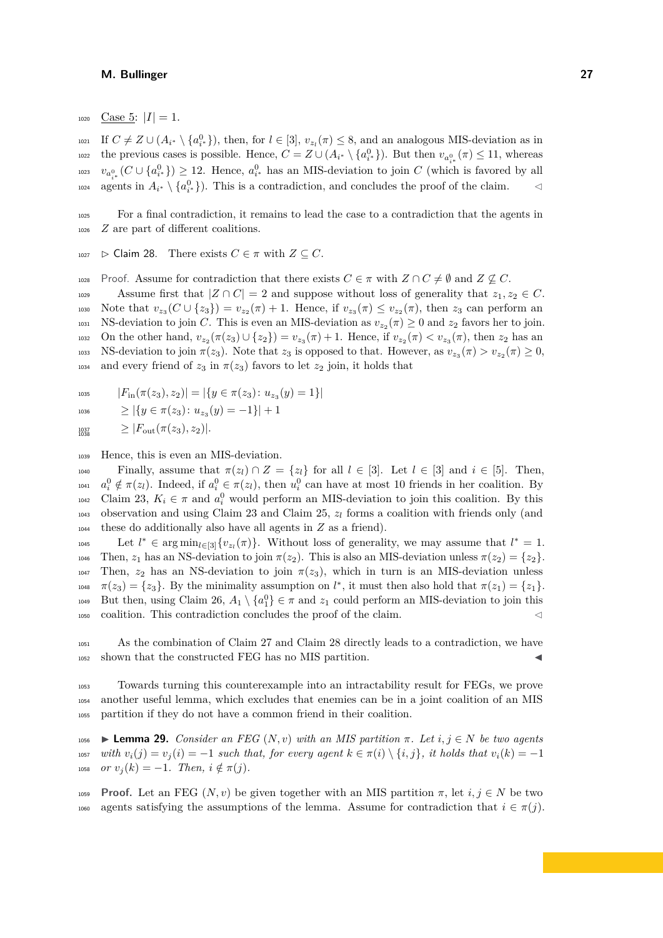$_{1020}$  Case 5:  $|I|=1$ .

If *C* ̸= *Z* ∪ (*A<sup>i</sup>* <sup>∗</sup> \ {*a* 0 *i* <sup>∗</sup> }), then, for *l* ∈ [3], *vz<sup>l</sup>* <sup>1021</sup> (*π*) ≤ 8, and an analogous MIS-deviation as in the previous cases is possible. Hence,  $C = Z \cup (A_{i^*} \setminus \{a_{i^*}^0\})$ . But then  $v_{a_{i^*}^0}(\pi) \le 11$ , whereas  $v_{a_{i^*}^0}(C \cup \{a_{i^*}^0\}) \geq 12$ . Hence,  $a_{i^*}^0$  has an MIS-deviation to join *C* (which is favored by all  $a_1 \neq a_2$  agents in  $A_{i^*} \setminus \{a_{i^*}^0\}$ . This is a contradiction, and concludes the proof of the claim.  $\triangleleft$ 

<sup>1025</sup> For a final contradiction, it remains to lead the case to a contradiction that the agents in <sup>1026</sup> *Z* are part of different coalitions.

<span id="page-26-0"></span>1027  $\triangleright$  Claim 28. There exists  $C \in \pi$  with  $Z \subseteq C$ .

1028 Proof. Assume for contradiction that there exists  $C \in \pi$  with  $Z \cap C \neq \emptyset$  and  $Z \nsubseteq C$ .

1029 Assume first that  $|Z \cap C| = 2$  and suppose without loss of generality that  $z_1, z_2 \in C$ . 1030 Note that  $v_{z_3}(C \cup \{z_3\}) = v_{z_2}(\pi) + 1$ . Hence, if  $v_{z_3}(\pi) \le v_{z_2}(\pi)$ , then  $z_3$  can perform an 1031 NS-deviation to join *C*. This is even an MIS-deviation as  $v_{z_2}(\pi) \geq 0$  and  $z_2$  favors her to join. 1032 On the other hand,  $v_{z_2}(\pi(z_3) \cup \{z_2\}) = v_{z_3}(\pi) + 1$ . Hence, if  $v_{z_2}(\pi) < v_{z_3}(\pi)$ , then  $z_2$  has an 1033 NS-deviation to join  $\pi(z_3)$ . Note that  $z_3$  is opposed to that. However, as  $v_{z_3}(\pi) > v_{z_2}(\pi) \geq 0$ , <sup>1034</sup> and every friend of  $z_3$  in  $\pi(z_3)$  favors to let  $z_2$  join, it holds that

1035 
$$
|F_{\text{in}}(\pi(z_3), z_2)| = |\{y \in \pi(z_3) \colon u_{z_3}(y) = 1\}|
$$

$$
1036 \qquad \geq |\{y \in \pi(z_3) \colon u_{z_3}(y) = -1\}| + 1
$$

 $\geq |F_{\text{out}}(\pi(z_3), z_2)|.$ 1038

<sup>1039</sup> Hence, this is even an MIS-deviation.

Finally, assume that  $\pi(z_l) \cap Z = \{z_l\}$  for all  $l \in [3]$ . Let  $l \in [3]$  and  $i \in [5]$ . Then, <sup>1041</sup>  $a_i^0 \notin \pi(z_i)$ . Indeed, if  $a_i^0 \in \pi(z_i)$ , then  $u_i^0$  can have at most 10 friends in her coalition. By <sup>1042</sup> Claim [23,](#page-23-1)  $K_i \in \pi$  and  $a_i^0$  would perform an MIS-deviation to join this coalition. By this <sup>1043</sup> observation and using Claim [23](#page-23-1) and Claim [25,](#page-24-0) *z<sup>l</sup>* forms a coalition with friends only (and <sup>1044</sup> these do additionally also have all agents in *Z* as a friend).

Let  $l^* \in \arg \min_{l \in [3]} \{v_{z_l}(\pi)\}\.$  Without loss of generality, we may assume that  $l^* = 1$ . 1046 Then,  $z_1$  has an NS-deviation to join  $\pi(z_2)$ . This is also an MIS-deviation unless  $\pi(z_2) = \{z_2\}.$ <sup>1047</sup> Then,  $z_2$  has an NS-deviation to join  $π(z_3)$ , which in turn is an MIS-deviation unless  $\pi(z_3) = \{z_3\}.$  By the minimality assumption on  $l^*$ , it must then also hold that  $\pi(z_1) = \{z_1\}.$ 1049 But then, using Claim [26,](#page-24-1)  $A_1 \setminus \{a_1^0\} \in \pi$  and  $z_1$  could perform an MIS-deviation to join this 1050 coalition. This contradiction concludes the proof of the claim.

<sup>1051</sup> As the combination of Claim [27](#page-24-2) and Claim [28](#page-26-0) directly leads to a contradiction, we have  $_{1052}$  shown that the constructed FEG has no MIS partition.

<sup>1053</sup> Towards turning this counterexample into an intractability result for FEGs, we prove <sup>1054</sup> another useful lemma, which excludes that enemies can be in a joint coalition of an MIS <sup>1055</sup> partition if they do not have a common friend in their coalition.

<span id="page-26-1"></span>1056 **Example 29.** *Consider an FEG*  $(N, v)$  *with an MIS partition*  $\pi$ *. Let*  $i, j \in N$  *be two agents* <sup>1057</sup> *with*  $v_i(j) = v_j(i) = -1$  *such that, for every agent*  $k \in \pi(i) \setminus \{i, j\}$ , *it holds that*  $v_i(k) = -1$  $1058$  *or*  $v_j(k) = -1$ *. Then,*  $i \notin \pi(j)$ *.* 

**Proof.** Let an FEG  $(N, v)$  be given together with an MIS partition  $\pi$ , let  $i, j \in N$  be two 1060 agents satisfying the assumptions of the lemma. Assume for contradiction that  $i \in \pi(j)$ .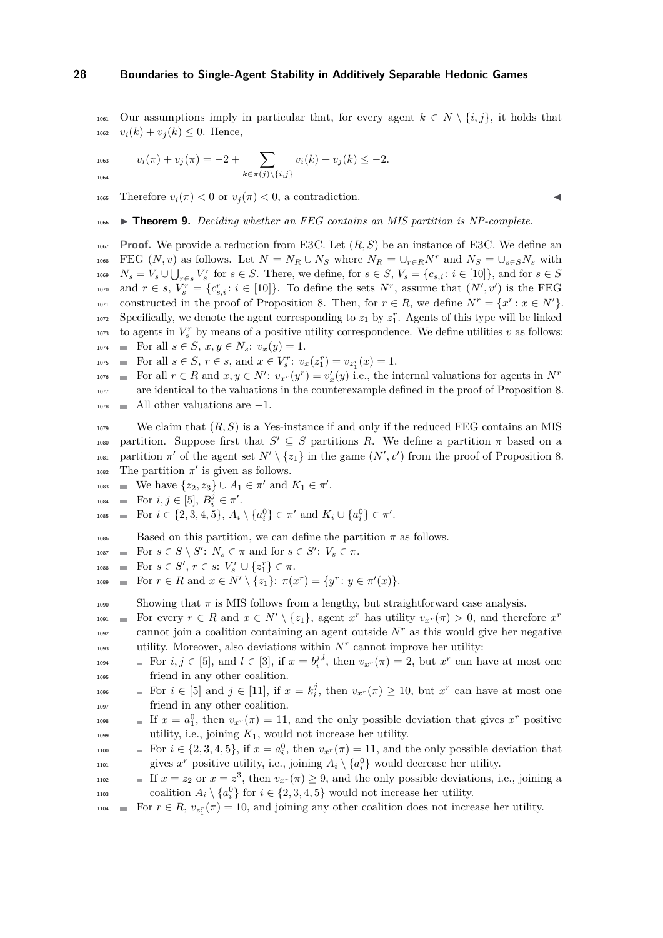1061 Our assumptions imply in particular that, for every agent  $k \in N \setminus \{i, j\}$ , it holds that 1062  $v_i(k) + v_j(k) \leq 0$ . Hence,

$$
v_i(\pi) + v_j(\pi) = -2 + \sum_{k \in \pi(j) \setminus \{i,j\}} v_i(k) + v_j(k) \le -2.
$$

1065 Therefore  $v_i(\pi) < 0$  or  $v_i(\pi) < 0$ , a contradiction.

<sup>1066</sup> ▶ **Theorem 9.** *Deciding whether an FEG contains an MIS partition is NP-complete.*

<sup>1067</sup> **Proof.** We provide a reduction from E3C. Let (*R, S*) be an instance of E3C. We define an 1068 FEG  $(N, v)$  as follows. Let  $N = N_R \cup N_S$  where  $N_R = \cup_{r \in R} N^r$  and  $N_S = \cup_{s \in S} N_s$  with 1069  $N_s = V_s \cup \bigcup_{r \in s} V_s^r$  for  $s \in S$ . There, we define, for  $s \in S$ ,  $V_s = \{c_{s,i}: i \in [10]\}$ , and for  $s \in S$ <sup>1070</sup> and  $r \in s$ ,  $V_s^r = \{c_{s,i}^r : i \in [10]\}$ . To define the sets  $N^r$ , assume that  $(N', v')$  is the FEG constructed in the proof of Proposition [8.](#page-11-2) Then, for  $r \in R$ , we define  $N^r = \{x^r : x \in N'\}.$  $Spectically, we denote the agent corresponding to  $z_1$  by  $z_1^r$ . Agents of this type will be linked$  $\frac{1073}{1073}$  to agents in  $V_s^r$  by means of a positive utility correspondence. We define utilities *v* as follows: 1074 **For all**  $s \in S$ ,  $x, y \in N_s$ :  $v_x(y) = 1$ .

- 
- $F_{\text{1075}}$   $\blacksquare$  For all  $s \in S$ ,  $r \in s$ , and  $x \in V_s^r$ :  $v_x(z_1^r) = v_{z_1^r}(x) = 1$ . 1076
- For all  $r \in R$  and  $x, y \in N'$ :  $v_{x}(y) = v'_{x}(y)$  i.e., the internal valuations for agents in  $N'$ 1077 are identical to the valuations in the counterexample defined in the proof of Proposition [8.](#page-11-2)  $_{1078}$  All other valuations are  $-1$ .

<sup>1079</sup> We claim that  $(R, S)$  is a Yes-instance if and only if the reduced FEG contains an MIS 1080 partition. Suppose first that  $S' \subseteq S$  partitions R. We define a partition  $\pi$  based on a <sup>1081</sup> partition  $\pi'$  of the agent set  $N' \setminus \{z_1\}$  in the game  $(N', v')$  from the proof of Proposition [8.](#page-11-2) 1082 The partition  $\pi'$  is given as follows.

- 1083 We have  $\{z_2, z_3\} \cup A_1 \in \pi'$  and  $K_1 \in \pi'$ .
- $F_{1084}$  **i** For  $i, j \in [5], B_i^j \in \pi'$ .

$$
\text{1085} \quad \equiv \quad \text{For } i \in \{2, 3, 4, 5\}, \, A_i \setminus \{a_i^0\} \in \pi' \text{ and } K_i \cup \{a_i^0\} \in \pi'.
$$

1086 Based on this partition, we can define the partition  $\pi$  as follows.

- $\text{For } s \in S \setminus S' : N_s \in \pi \text{ and for } s \in S' : V_s \in \pi.$
- $\text{For } s \in S', r \in s: V_s^r \cup \{z_1^r\} \in \pi.$
- $F_{1089}$  = For  $r \in R$  and  $x \in N' \setminus \{z_1\}$ :  $\pi(x^r) = \{y^r : y \in \pi'(x)\}.$

1090 Showing that  $\pi$  is MIS follows from a lengthy, but straightforward case analysis.

- For every  $r \in R$  and  $x \in N' \setminus \{z_1\}$ , agent  $x^r$  has utility  $v_{x^r}(\pi) > 0$ , and therefore  $x^r$ 1091  $_{1092}$  cannot join a coalition containing an agent outside  $N<sup>r</sup>$  as this would give her negative 1093 utility. Moreover, also deviations within  $N<sup>r</sup>$  cannot improve her utility:
- $F_{1094}$  = For  $i, j \in [5]$ , and  $l \in [3]$ , if  $x = b_i^{j,l}$ , then  $v_{x}r(\pi) = 2$ , but  $x^r$  can have at most one <sup>1095</sup> friend in any other coalition.
- $F_{1096}$  = For  $i \in [5]$  and  $j \in [11]$ , if  $x = k_i^j$ , then  $v_{x^r}(\pi) \ge 10$ , but  $x^r$  can have at most one <sup>1097</sup> friend in any other coalition.
- 1098 **a** If  $x = a_1^0$ , then  $v_{x}r(\pi) = 11$ , and the only possible deviation that gives  $x^r$  positive  $_{1099}$  utility, i.e., joining  $K_1$ , would not increase her utility.
- $F_{1000}$  = For  $i \in \{2, 3, 4, 5\}$ , if  $x = a_i^0$ , then  $v_{x}$ *r*( $\pi$ ) = 11, and the only possible deviation that gives  $x^r$  positive utility, i.e., joining  $A_i \setminus \{a_i^0\}$  would decrease her utility.
- $\text{If } x = z_2 \text{ or } x = z^3 \text{, then } v_x(r) \geq 9 \text{, and the only possible deviations, i.e., joining a.}$ rios coalition  $A_i \setminus \{a_i^0\}$  for  $i \in \{2, 3, 4, 5\}$  would not increase her utility.

 $F_{1104}$  **For**  $r \in R$ ,  $v_{z_1^r}(\pi) = 10$ , and joining any other coalition does not increase her utility.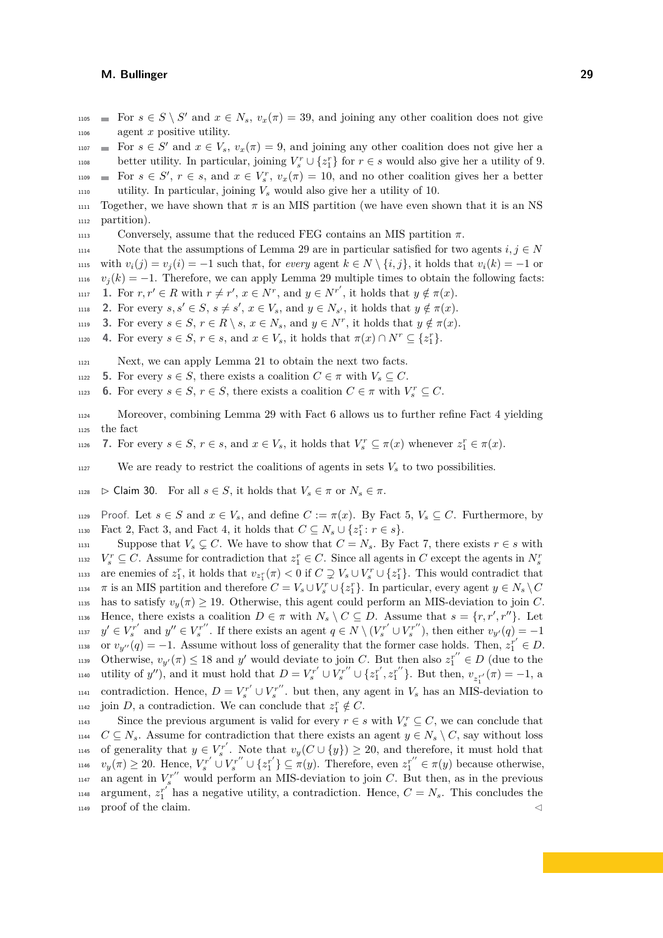$F_{105}$  = For  $s \in S \setminus S'$  and  $x \in N_s$ ,  $v_x(\pi) = 39$ , and joining any other coalition does not give <sup>1106</sup> agent *x* positive utility.

 $F_{1007}$  **a** For  $s \in S'$  and  $x \in V_s$ ,  $v_x(\pi) = 9$ , and joining any other coalition does not give her a

better utility. In particular, joining  $V_s^r \cup \{z_1^r\}$  for  $r \in s$  would also give her a utility of 9.  $F_1$   $\in$   $S'$ ,  $r \in s$ , and  $x \in V_s^r$ ,  $v_x(\pi) = 10$ , and no other coalition gives her a better

1110 utility. In particular, joining  $V_s$  would also give her a utility of 10.

1111 Together, we have shown that  $\pi$  is an MIS partition (we have even shown that it is an NS <sup>1112</sup> partition).

 $1113$  Conversely, assume that the reduced FEG contains an MIS partition *π*.

1114 Note that the assumptions of Lemma [29](#page-26-1) are in particular satisfied for two agents  $i, j \in N$ *u*<sub>1115</sub> with  $v_i(j) = v_i(i) = -1$  such that, for *every* agent  $k ∈ N \setminus \{i, j\}$ , it holds that  $v_i(k) = -1$  or  $v_j(k) = -1$ . Therefore, we can apply Lemma [29](#page-26-1) multiple times to obtain the following facts: **1117 1.** For  $r, r' \in R$  with  $r \neq r', x \in N^r$ , and  $y \in N^{r'}$ , it holds that  $y \notin \pi(x)$ .

<span id="page-28-7"></span><span id="page-28-3"></span>**2.** For every  $s, s' \in S$ ,  $s \neq s'$ ,  $x \in V_s$ , and  $y \in N_{s'}$ , it holds that  $y \notin \pi(x)$ .

<span id="page-28-4"></span>**3.** For every  $s \in S$ ,  $r \in R \setminus s$ ,  $x \in N_s$ , and  $y \in N^r$ , it holds that  $y \notin \pi(x)$ .

<span id="page-28-1"></span>**4.** For every  $s \in S$ ,  $r \in s$ , and  $x \in V_s$ , it holds that  $\pi(x) \cap N^r \subseteq \{z_1^r\}.$ 

1121 Next, we can apply Lemma [21](#page-22-3) to obtain the next two facts.

- <span id="page-28-2"></span>1122 **5.** For every  $s \in S$ , there exists a coalition  $C \in \pi$  with  $V_s \subseteq C$ .
- <span id="page-28-0"></span>**6.** For every  $s \in S$ ,  $r \in S$ , there exists a coalition  $C \in \pi$  with  $V_s^r \subseteq C$ .

<sup>1124</sup> Moreover, combining Lemma [29](#page-26-1) with Fact [6](#page-28-0) allows us to further refine Fact [4](#page-28-1) yielding <sup>1125</sup> the fact

<span id="page-28-5"></span>**7.** For every  $s \in S$ ,  $r \in s$ , and  $x \in V_s$ , it holds that  $V_s^r \subseteq \pi(x)$  whenever  $z_1^r \in \pi(x)$ .

<span id="page-28-6"></span>1127 We are ready to restrict the coalitions of agents in sets  $V_s$  to two possibilities.

1128  $\triangleright$  Claim 30. For all  $s \in S$ , it holds that  $V_s \in \pi$  or  $N_s \in \pi$ .

1129 Proof. Let  $s \in S$  and  $x \in V_s$ , and define  $C := \pi(x)$ . By Fact [5,](#page-28-2)  $V_s \subseteq C$ . Furthermore, by Fact [2,](#page-28-3) Fact [3,](#page-28-4) and Fact [4,](#page-28-1) it holds that  $C \subseteq N_s \cup \{z_1^r : r \in s\}.$ 

1131 Suppose that  $V_s \subsetneq C$ . We have to show that  $C = N_s$ . By Fact [7,](#page-28-5) there exists  $r \in s$  with  $V_s^r \subseteq C$ . Assume for contradiction that  $z_1^r \in C$ . Since all agents in *C* except the agents in  $N_s^r$ 1132  $v_{z_1}(\pi) < 0$  if  $C \supsetneq V_s \cup V_s^r \cup \{z_1^r\}$ . This would contradict that *n*<sub>34</sub>  $\pi$  is an MIS partition and therefore  $C = V_s \cup V_s^r \cup \{z_1^r\}$ . In particular, every agent  $y \in N_s \setminus C$ <sup>1135</sup> has to satisfy  $v_y(\pi) \geq 19$ . Otherwise, this agent could perform an MIS-deviation to join *C*. Hence, there exists a coalition  $D \in \pi$  with  $N_s \setminus C \subseteq D$ . Assume that  $s = \{r, r', r''\}$ . Let <sup>1137</sup>  $y' \in V_s^{r'}$  and  $y'' \in V_s^{r''}$ . If there exists an agent  $q \in N \setminus (V_s^{r'} \cup V_s^{r''})$ , then either  $v_{y'}(q) = -1$ <sup>1138</sup> or  $v_{y''}(q) = -1$ . Assume without loss of generality that the former case holds. Then,  $z_1^{r'} \in D$ . Otherwise,  $v_{y'}(\pi) \leq 18$  and  $y'$  would deviate to join *C*. But then also  $z_1^{r''} \in D$  (due to the 1140 utility of y''), and it must hold that  $D = V_s^{r'} \cup V_s^{r''} \cup \{z_1^{r'}, z_1^{r''}\}\$ . But then,  $v_{z_1^{r'}}(\pi) = -1$ , a <sup>1141</sup> contradiction. Hence,  $D = V_s^{r'} \cup V_s^{r''}$ , but then, any agent in  $V_s$  has an MIS-deviation to join *D*, a contradiction. We can conclude that  $z_1^r \notin C$ .

Since the previous argument is valid for every  $r \in s$  with  $V_s^r \subseteq C$ , we can conclude that <sup>1144</sup>  $C \subseteq N_s$ . Assume for contradiction that there exists an agent  $y \in N_s \setminus C$ , say without loss 1145 of generality that  $y \in V_s^{r'}$ . Note that  $v_y(C \cup \{y\}) \geq 20$ , and therefore, it must hold that 1146  $v_y(\pi) \ge 20$ . Hence,  $V_s^{r'} \cup V_s^{r''} \cup \{z_1^{r'}\} \subseteq \pi(y)$ . Therefore, even  $z_1^{r''} \in \pi(y)$  because otherwise,  $_{1147}$  an agent in  $V_s^{r''}$  would perform an MIS-deviation to join *C*. But then, as in the previous 1148 argument,  $z_1^{r'}$  has a negative utility, a contradiction. Hence,  $C = N_s$ . This concludes the  $_{1149}$  proof of the claim.